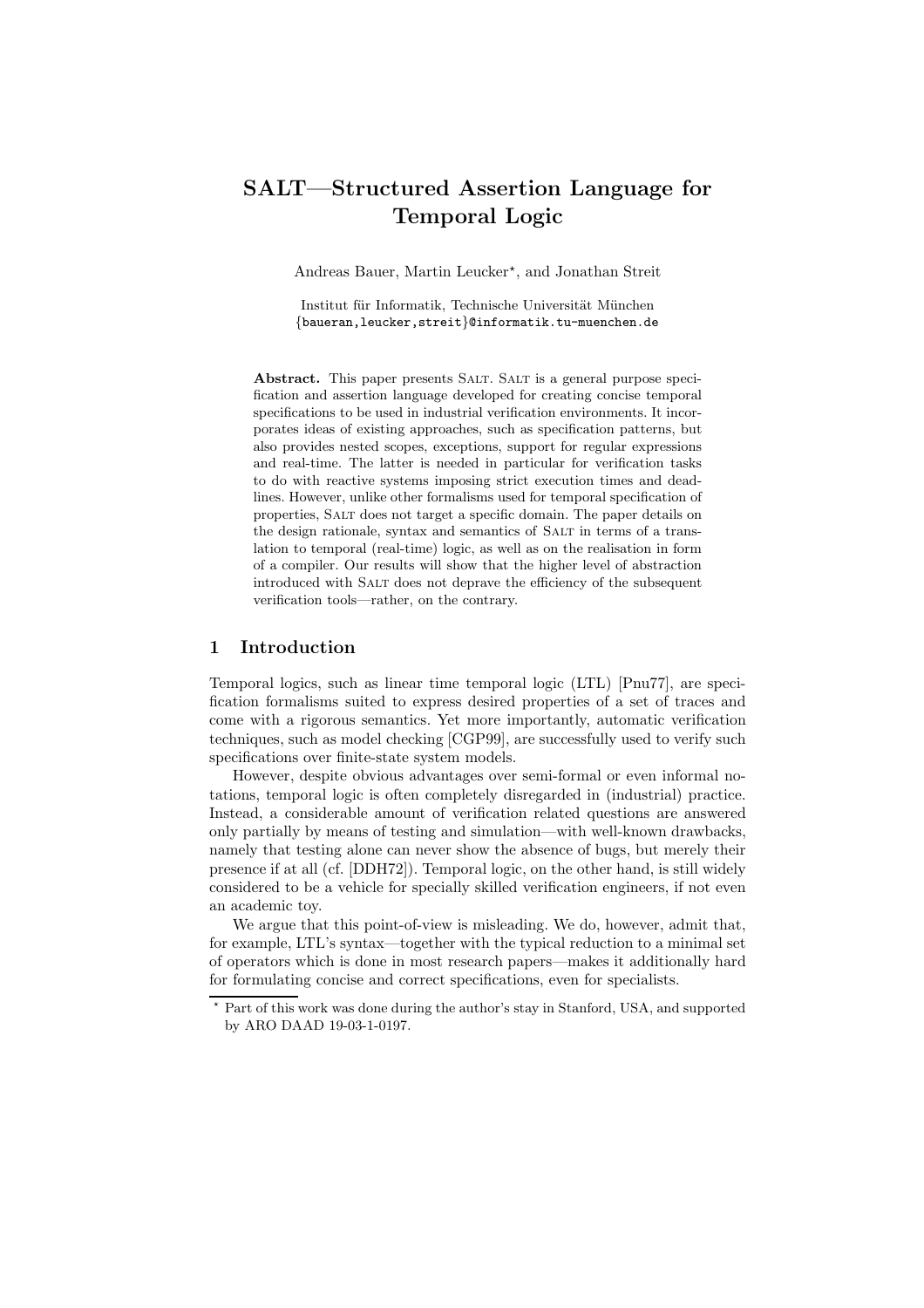# SALT—Structured Assertion Language for Temporal Logic

Andreas Bauer, Martin Leucker<sup>\*</sup>, and Jonathan Streit

Institut für Informatik, Technische Universität München {baueran,leucker,streit}@informatik.tu-muenchen.de

Abstract. This paper presents SALT. SALT is a general purpose specification and assertion language developed for creating concise temporal specifications to be used in industrial verification environments. It incorporates ideas of existing approaches, such as specification patterns, but also provides nested scopes, exceptions, support for regular expressions and real-time. The latter is needed in particular for verification tasks to do with reactive systems imposing strict execution times and deadlines. However, unlike other formalisms used for temporal specification of properties, SALT does not target a specific domain. The paper details on the design rationale, syntax and semantics of SALT in terms of a translation to temporal (real-time) logic, as well as on the realisation in form of a compiler. Our results will show that the higher level of abstraction introduced with Salt does not deprave the efficiency of the subsequent verification tools—rather, on the contrary.

# 1 Introduction

Temporal logics, such as linear time temporal logic (LTL) [Pnu77], are specification formalisms suited to express desired properties of a set of traces and come with a rigorous semantics. Yet more importantly, automatic verification techniques, such as model checking [CGP99], are successfully used to verify such specifications over finite-state system models.

However, despite obvious advantages over semi-formal or even informal notations, temporal logic is often completely disregarded in (industrial) practice. Instead, a considerable amount of verification related questions are answered only partially by means of testing and simulation—with well-known drawbacks, namely that testing alone can never show the absence of bugs, but merely their presence if at all (cf. [DDH72]). Temporal logic, on the other hand, is still widely considered to be a vehicle for specially skilled verification engineers, if not even an academic toy.

We argue that this point-of-view is misleading. We do, however, admit that, for example, LTL's syntax—together with the typical reduction to a minimal set of operators which is done in most research papers—makes it additionally hard for formulating concise and correct specifications, even for specialists.

<sup>?</sup> Part of this work was done during the author's stay in Stanford, USA, and supported by ARO DAAD 19-03-1-0197.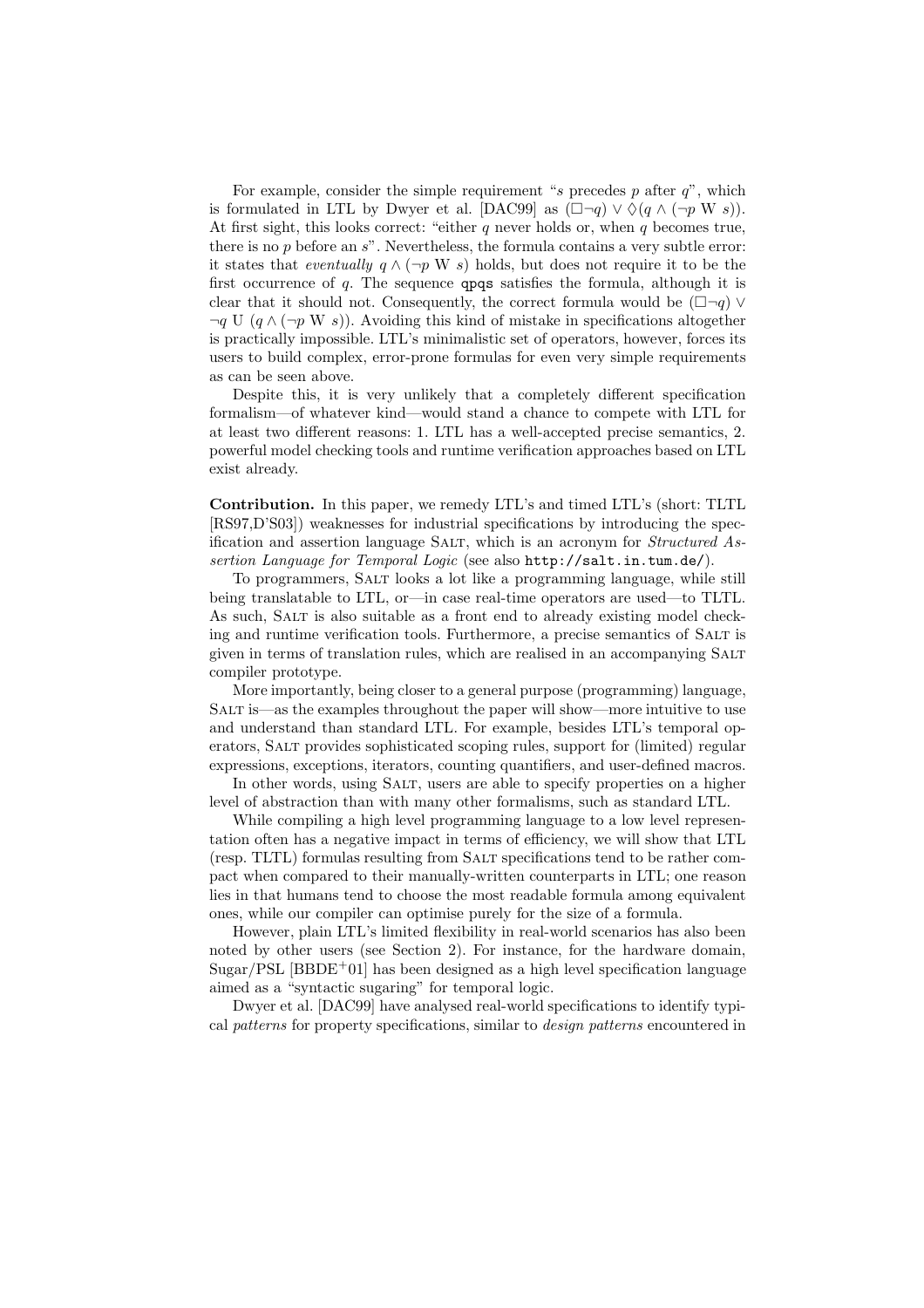For example, consider the simple requirement "s precedes  $p$  after  $q$ ", which is formulated in LTL by Dwyer et al. [DAC99] as  $(\Box \neg q) \vee \Diamond (q \wedge (\neg p \vee s))$ . At first sight, this looks correct: "either  $q$  never holds or, when  $q$  becomes true, there is no  $p$  before an  $s$ ". Nevertheless, the formula contains a very subtle error: it states that *eventually*  $q \wedge (\neg p \le s)$  holds, but does not require it to be the first occurrence of  $q$ . The sequence **qpqs** satisfies the formula, although it is clear that it should not. Consequently, the correct formula would be  $(\Box \neg q) \vee$  $\neg q$  U ( $q \wedge (\neg p \le s)$ ). Avoiding this kind of mistake in specifications altogether is practically impossible. LTL's minimalistic set of operators, however, forces its users to build complex, error-prone formulas for even very simple requirements as can be seen above.

Despite this, it is very unlikely that a completely different specification formalism—of whatever kind—would stand a chance to compete with LTL for at least two different reasons: 1. LTL has a well-accepted precise semantics, 2. powerful model checking tools and runtime verification approaches based on LTL exist already.

Contribution. In this paper, we remedy LTL's and timed LTL's (short: TLTL [RS97,D'S03]) weaknesses for industrial specifications by introducing the specification and assertion language SALT, which is an acronym for *Structured As*sertion Language for Temporal Logic (see also http://salt.in.tum.de/).

To programmers, Salt looks a lot like a programming language, while still being translatable to LTL, or—in case real-time operators are used—to TLTL. As such, SALT is also suitable as a front end to already existing model checking and runtime verification tools. Furthermore, a precise semantics of Salt is given in terms of translation rules, which are realised in an accompanying Salt compiler prototype.

More importantly, being closer to a general purpose (programming) language, Salt is—as the examples throughout the paper will show—more intuitive to use and understand than standard LTL. For example, besides LTL's temporal operators, SALT provides sophisticated scoping rules, support for (limited) regular expressions, exceptions, iterators, counting quantifiers, and user-defined macros.

In other words, using SALT, users are able to specify properties on a higher level of abstraction than with many other formalisms, such as standard LTL.

While compiling a high level programming language to a low level representation often has a negative impact in terms of efficiency, we will show that LTL (resp. TLTL) formulas resulting from Salt specifications tend to be rather compact when compared to their manually-written counterparts in LTL; one reason lies in that humans tend to choose the most readable formula among equivalent ones, while our compiler can optimise purely for the size of a formula.

However, plain LTL's limited flexibility in real-world scenarios has also been noted by other users (see Section 2). For instance, for the hardware domain,  $Sugar/PSL [BBDE<sup>+</sup>01]$  has been designed as a high level specification language aimed as a "syntactic sugaring" for temporal logic.

Dwyer et al. [DAC99] have analysed real-world specifications to identify typical patterns for property specifications, similar to design patterns encountered in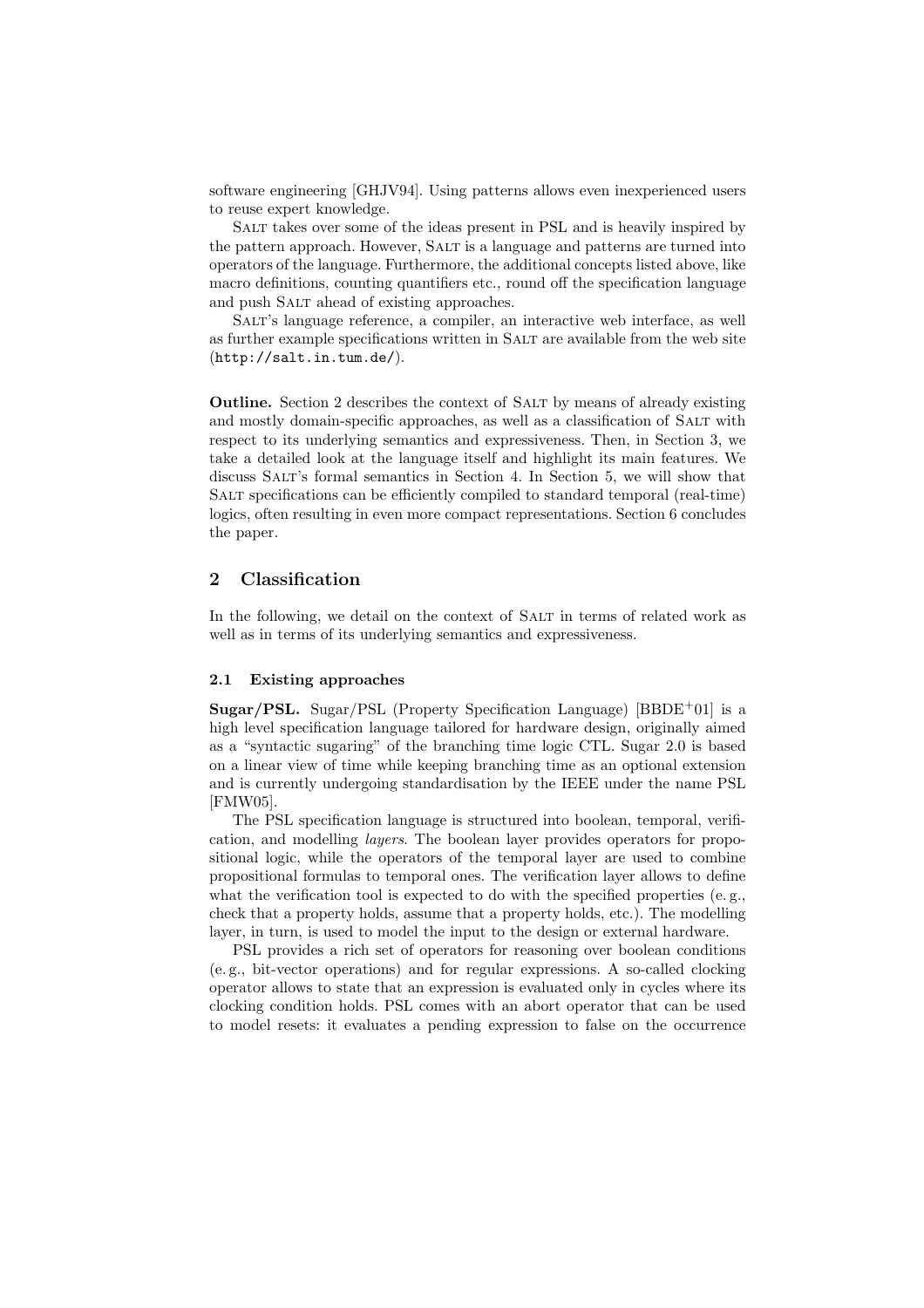software engineering [GHJV94]. Using patterns allows even inexperienced users to reuse expert knowledge.

SALT takes over some of the ideas present in PSL and is heavily inspired by the pattern approach. However, SALT is a language and patterns are turned into operators of the language. Furthermore, the additional concepts listed above, like macro definitions, counting quantifiers etc., round off the specification language and push SALT ahead of existing approaches.

Salt's language reference, a compiler, an interactive web interface, as well as further example specifications written in SALT are available from the web site (http://salt.in.tum.de/).

Outline. Section 2 describes the context of Salt by means of already existing and mostly domain-specific approaches, as well as a classification of SALT with respect to its underlying semantics and expressiveness. Then, in Section 3, we take a detailed look at the language itself and highlight its main features. We discuss Salt's formal semantics in Section 4. In Section 5, we will show that Salt specifications can be efficiently compiled to standard temporal (real-time) logics, often resulting in even more compact representations. Section 6 concludes the paper.

## 2 Classification

In the following, we detail on the context of SALT in terms of related work as well as in terms of its underlying semantics and expressiveness.

## 2.1 Existing approaches

**Sugar/PSL.** Sugar/PSL (Property Specification Language)  $[BBDE^+01]$  is a high level specification language tailored for hardware design, originally aimed as a "syntactic sugaring" of the branching time logic CTL. Sugar 2.0 is based on a linear view of time while keeping branching time as an optional extension and is currently undergoing standardisation by the IEEE under the name PSL [FMW05].

The PSL specification language is structured into boolean, temporal, verification, and modelling layers. The boolean layer provides operators for propositional logic, while the operators of the temporal layer are used to combine propositional formulas to temporal ones. The verification layer allows to define what the verification tool is expected to do with the specified properties  $(e, g, \cdot)$ check that a property holds, assume that a property holds, etc.). The modelling layer, in turn, is used to model the input to the design or external hardware.

PSL provides a rich set of operators for reasoning over boolean conditions (e. g., bit-vector operations) and for regular expressions. A so-called clocking operator allows to state that an expression is evaluated only in cycles where its clocking condition holds. PSL comes with an abort operator that can be used to model resets: it evaluates a pending expression to false on the occurrence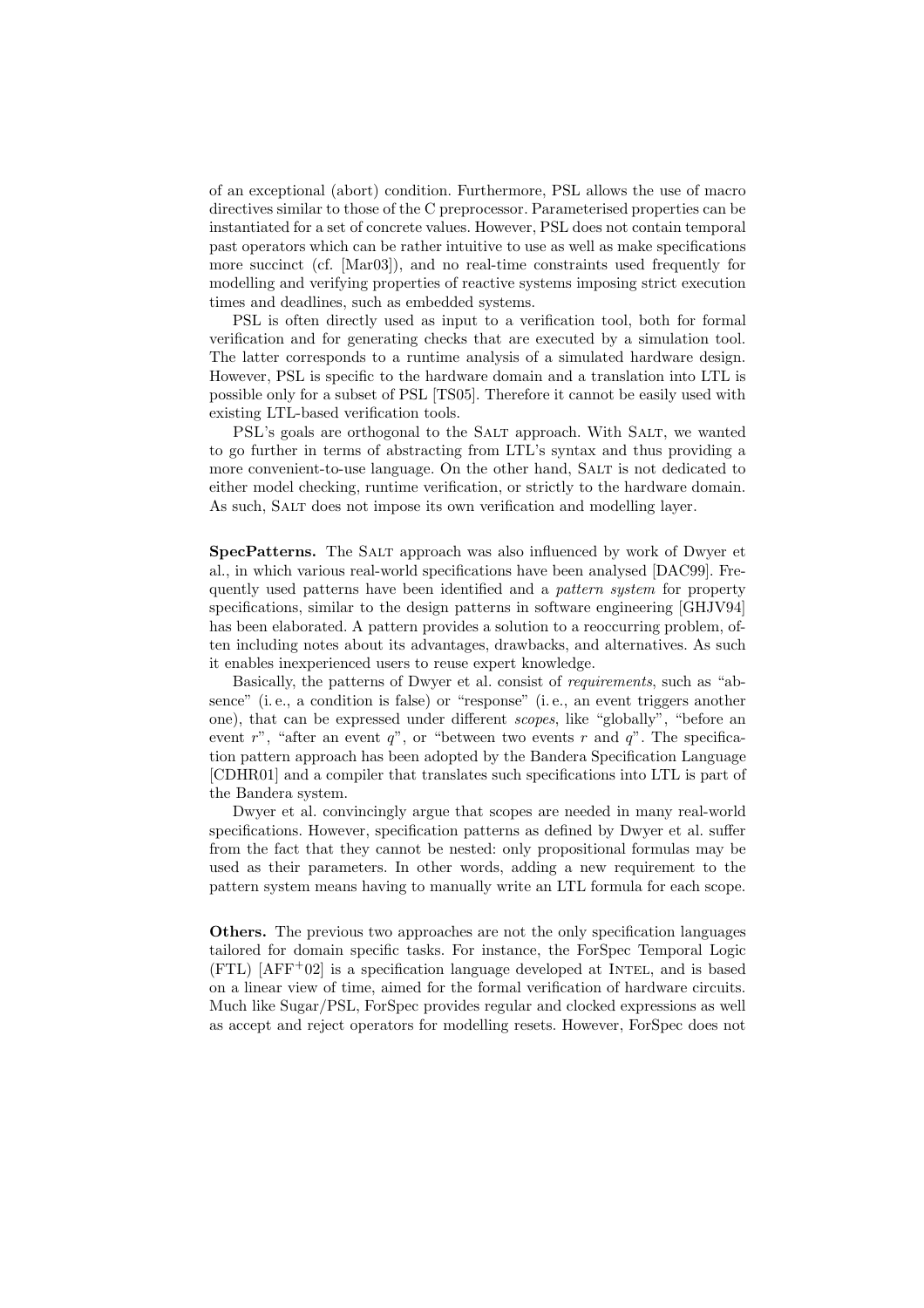of an exceptional (abort) condition. Furthermore, PSL allows the use of macro directives similar to those of the C preprocessor. Parameterised properties can be instantiated for a set of concrete values. However, PSL does not contain temporal past operators which can be rather intuitive to use as well as make specifications more succinct (cf. [Mar03]), and no real-time constraints used frequently for modelling and verifying properties of reactive systems imposing strict execution times and deadlines, such as embedded systems.

PSL is often directly used as input to a verification tool, both for formal verification and for generating checks that are executed by a simulation tool. The latter corresponds to a runtime analysis of a simulated hardware design. However, PSL is specific to the hardware domain and a translation into LTL is possible only for a subset of PSL [TS05]. Therefore it cannot be easily used with existing LTL-based verification tools.

PSL's goals are orthogonal to the SALT approach. With SALT, we wanted to go further in terms of abstracting from LTL's syntax and thus providing a more convenient-to-use language. On the other hand, Salt is not dedicated to either model checking, runtime verification, or strictly to the hardware domain. As such, Salt does not impose its own verification and modelling layer.

SpecPatterns. The SALT approach was also influenced by work of Dwyer et al., in which various real-world specifications have been analysed [DAC99]. Frequently used patterns have been identified and a *pattern system* for property specifications, similar to the design patterns in software engineering [GHJV94] has been elaborated. A pattern provides a solution to a reoccurring problem, often including notes about its advantages, drawbacks, and alternatives. As such it enables inexperienced users to reuse expert knowledge.

Basically, the patterns of Dwyer et al. consist of requirements, such as "absence" (i. e., a condition is false) or "response" (i. e., an event triggers another one), that can be expressed under different scopes, like "globally", "before an event r", "after an event  $q$ ", or "between two events r and  $q$ ". The specification pattern approach has been adopted by the Bandera Specification Language [CDHR01] and a compiler that translates such specifications into LTL is part of the Bandera system.

Dwyer et al. convincingly argue that scopes are needed in many real-world specifications. However, specification patterns as defined by Dwyer et al. suffer from the fact that they cannot be nested: only propositional formulas may be used as their parameters. In other words, adding a new requirement to the pattern system means having to manually write an LTL formula for each scope.

Others. The previous two approaches are not the only specification languages tailored for domain specific tasks. For instance, the ForSpec Temporal Logic  $(FTL)$   $[AFF<sup>+</sup>02]$  is a specification language developed at INTEL, and is based on a linear view of time, aimed for the formal verification of hardware circuits. Much like Sugar/PSL, ForSpec provides regular and clocked expressions as well as accept and reject operators for modelling resets. However, ForSpec does not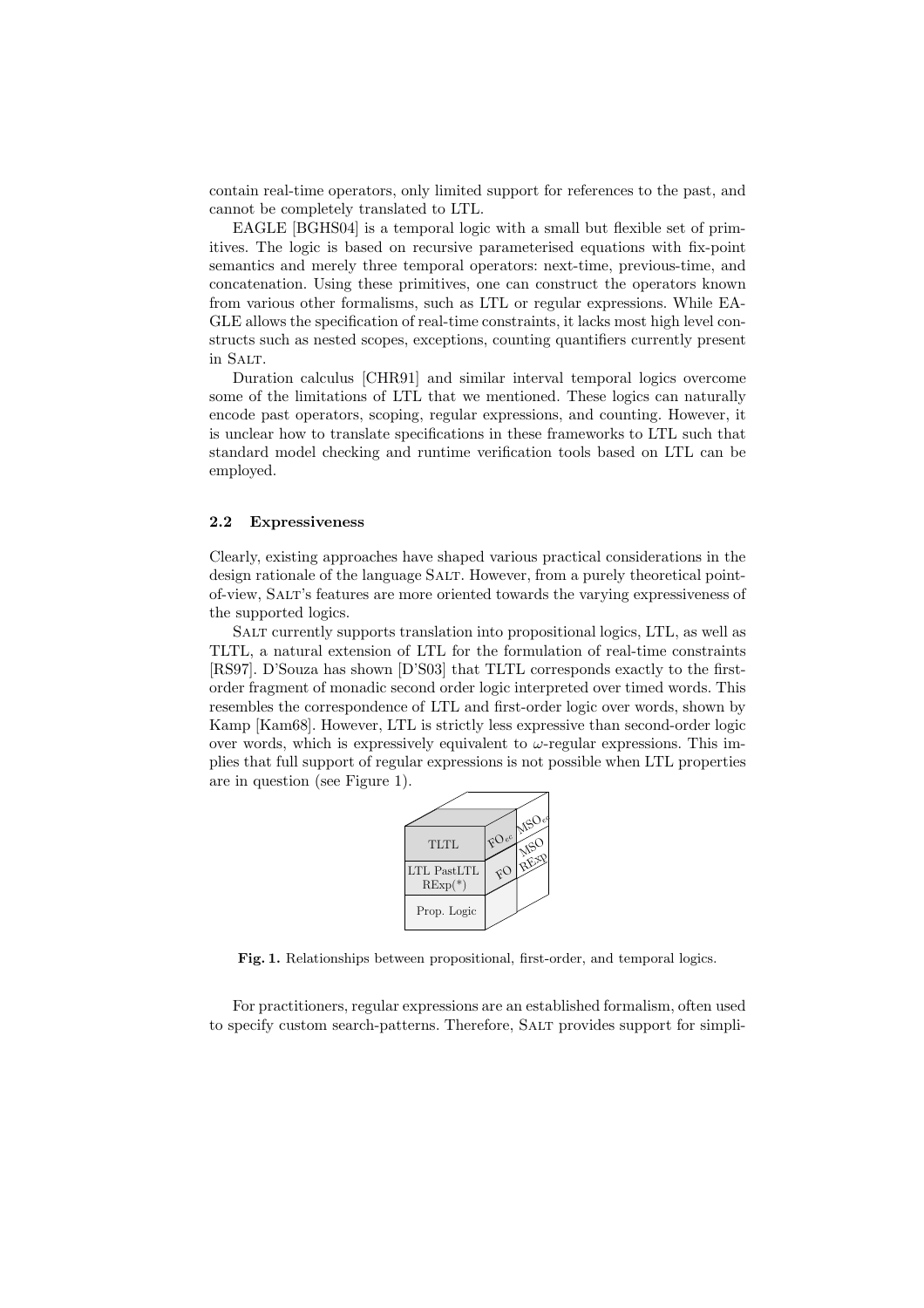contain real-time operators, only limited support for references to the past, and cannot be completely translated to LTL.

EAGLE [BGHS04] is a temporal logic with a small but flexible set of primitives. The logic is based on recursive parameterised equations with fix-point semantics and merely three temporal operators: next-time, previous-time, and concatenation. Using these primitives, one can construct the operators known from various other formalisms, such as LTL or regular expressions. While EA-GLE allows the specification of real-time constraints, it lacks most high level constructs such as nested scopes, exceptions, counting quantifiers currently present in Salt.

Duration calculus [CHR91] and similar interval temporal logics overcome some of the limitations of LTL that we mentioned. These logics can naturally encode past operators, scoping, regular expressions, and counting. However, it is unclear how to translate specifications in these frameworks to LTL such that standard model checking and runtime verification tools based on LTL can be employed.

#### 2.2 Expressiveness

Clearly, existing approaches have shaped various practical considerations in the design rationale of the language SALT. However, from a purely theoretical pointof-view, Salt's features are more oriented towards the varying expressiveness of the supported logics.

Salt currently supports translation into propositional logics, LTL, as well as TLTL, a natural extension of LTL for the formulation of real-time constraints [RS97]. D'Souza has shown [D'S03] that TLTL corresponds exactly to the firstorder fragment of monadic second order logic interpreted over timed words. This resembles the correspondence of LTL and first-order logic over words, shown by Kamp [Kam68]. However, LTL is strictly less expressive than second-order logic over words, which is expressively equivalent to  $\omega$ -regular expressions. This implies that full support of regular expressions is not possible when LTL properties are in question (see Figure 1).



Fig. 1. Relationships between propositional, first-order, and temporal logics.

For practitioners, regular expressions are an established formalism, often used to specify custom search-patterns. Therefore, SALT provides support for simpli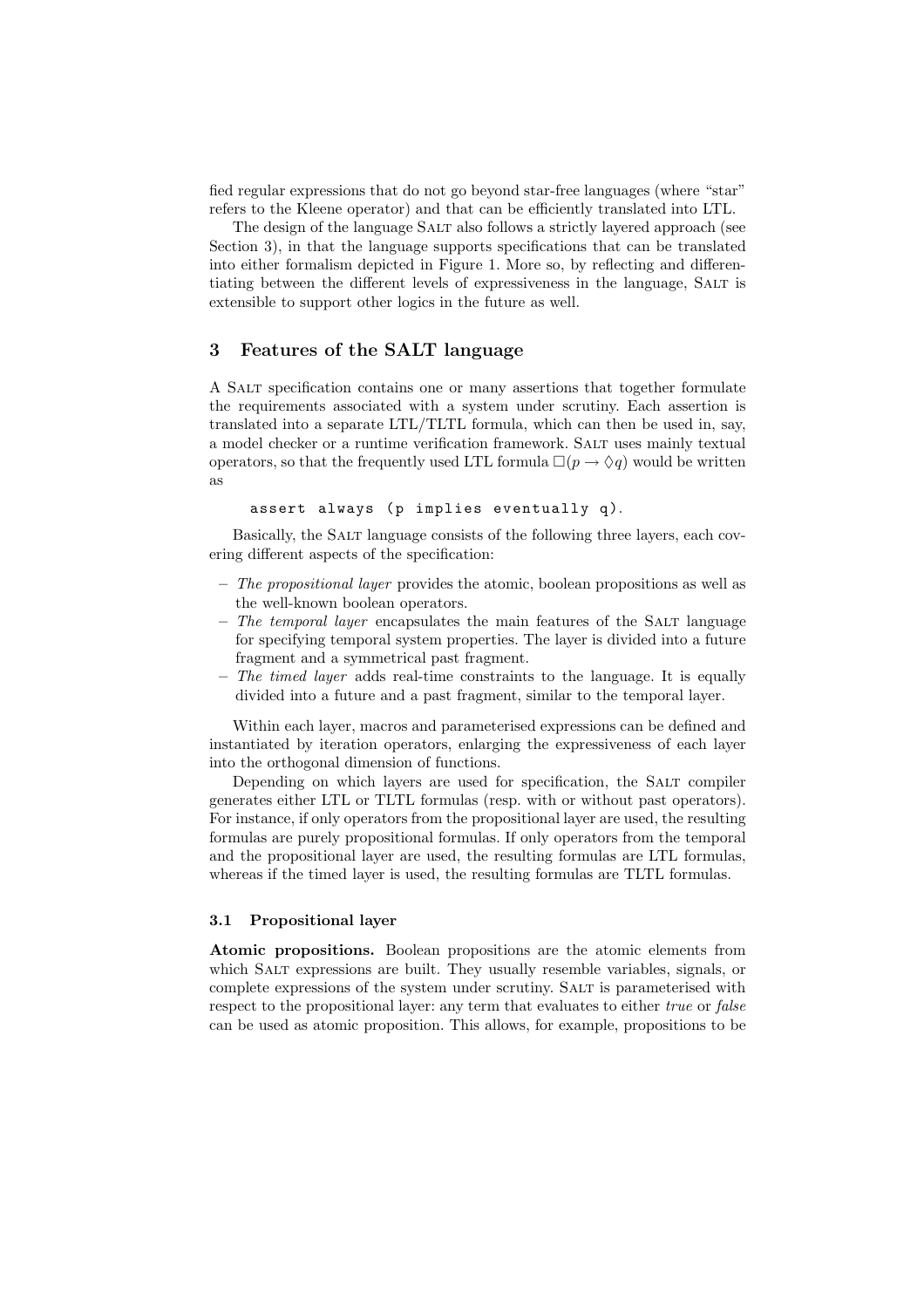fied regular expressions that do not go beyond star-free languages (where "star" refers to the Kleene operator) and that can be efficiently translated into LTL.

The design of the language SALT also follows a strictly layered approach (see Section 3), in that the language supports specifications that can be translated into either formalism depicted in Figure 1. More so, by reflecting and differentiating between the different levels of expressiveness in the language, Salt is extensible to support other logics in the future as well.

## 3 Features of the SALT language

A Salt specification contains one or many assertions that together formulate the requirements associated with a system under scrutiny. Each assertion is translated into a separate LTL/TLTL formula, which can then be used in, say, a model checker or a runtime verification framework. SALT uses mainly textual operators, so that the frequently used LTL formula  $\Box(p \rightarrow \Diamond q)$  would be written as

## assert always (p implies eventually q).

Basically, the SALT language consists of the following three layers, each covering different aspects of the specification:

- $-$  The propositional layer provides the atomic, boolean propositions as well as the well-known boolean operators.
- $-$  The temporal layer encapsulates the main features of the SALT language for specifying temporal system properties. The layer is divided into a future fragment and a symmetrical past fragment.
- $-$  The timed layer adds real-time constraints to the language. It is equally divided into a future and a past fragment, similar to the temporal layer.

Within each layer, macros and parameterised expressions can be defined and instantiated by iteration operators, enlarging the expressiveness of each layer into the orthogonal dimension of functions.

Depending on which layers are used for specification, the SALT compiler generates either LTL or TLTL formulas (resp. with or without past operators). For instance, if only operators from the propositional layer are used, the resulting formulas are purely propositional formulas. If only operators from the temporal and the propositional layer are used, the resulting formulas are LTL formulas, whereas if the timed layer is used, the resulting formulas are TLTL formulas.

#### 3.1 Propositional layer

Atomic propositions. Boolean propositions are the atomic elements from which SALT expressions are built. They usually resemble variables, signals, or complete expressions of the system under scrutiny. SALT is parameterised with respect to the propositional layer: any term that evaluates to either true or false can be used as atomic proposition. This allows, for example, propositions to be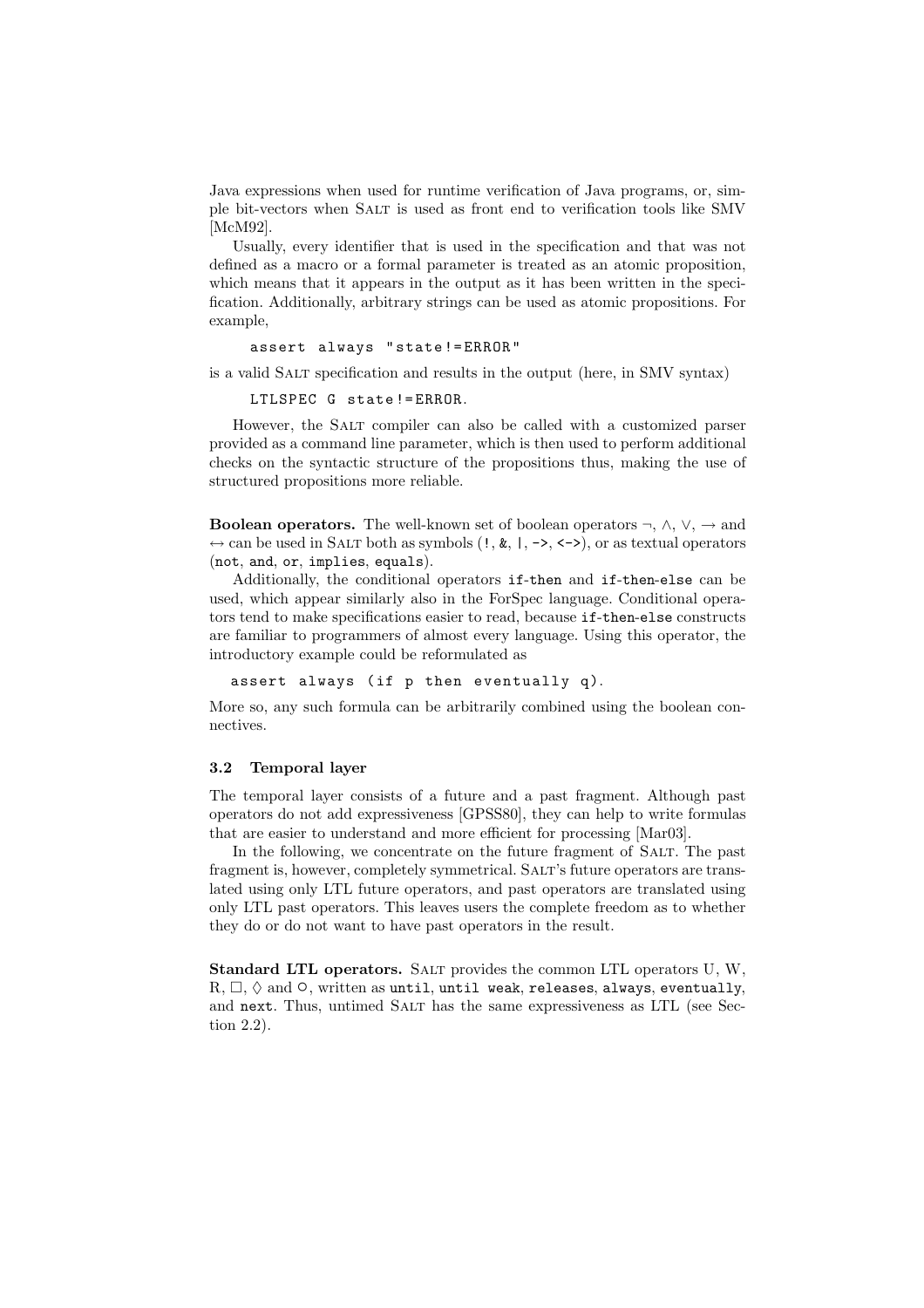Java expressions when used for runtime verification of Java programs, or, simple bit-vectors when Salt is used as front end to verification tools like SMV [McM92].

Usually, every identifier that is used in the specification and that was not defined as a macro or a formal parameter is treated as an atomic proposition, which means that it appears in the output as it has been written in the specification. Additionally, arbitrary strings can be used as atomic propositions. For example,

assert always " state != ERROR"

is a valid Salt specification and results in the output (here, in SMV syntax)

LTLSPEC G state != ERROR.

However, the SALT compiler can also be called with a customized parser provided as a command line parameter, which is then used to perform additional checks on the syntactic structure of the propositions thus, making the use of structured propositions more reliable.

**Boolean operators.** The well-known set of boolean operators  $\neg$ ,  $\wedge$ ,  $\vee$ ,  $\rightarrow$  and  $\leftrightarrow$  can be used in SALT both as symbols  $(1, \& 1, -\rangle, \langle -\rangle)$ , or as textual operators (not, and, or, implies, equals).

Additionally, the conditional operators if-then and if-then-else can be used, which appear similarly also in the ForSpec language. Conditional operators tend to make specifications easier to read, because if-then-else constructs are familiar to programmers of almost every language. Using this operator, the introductory example could be reformulated as

assert always (if p then eventually q).

More so, any such formula can be arbitrarily combined using the boolean connectives.

#### 3.2 Temporal layer

The temporal layer consists of a future and a past fragment. Although past operators do not add expressiveness [GPSS80], they can help to write formulas that are easier to understand and more efficient for processing [Mar03].

In the following, we concentrate on the future fragment of Salt. The past fragment is, however, completely symmetrical. Salt's future operators are translated using only LTL future operators, and past operators are translated using only LTL past operators. This leaves users the complete freedom as to whether they do or do not want to have past operators in the result.

Standard LTL operators. SALT provides the common LTL operators U, W,  $R, \Box, \Diamond$  and  $\circ$ , written as until, until weak, releases, always, eventually, and next. Thus, untimed Salt has the same expressiveness as LTL (see Section 2.2).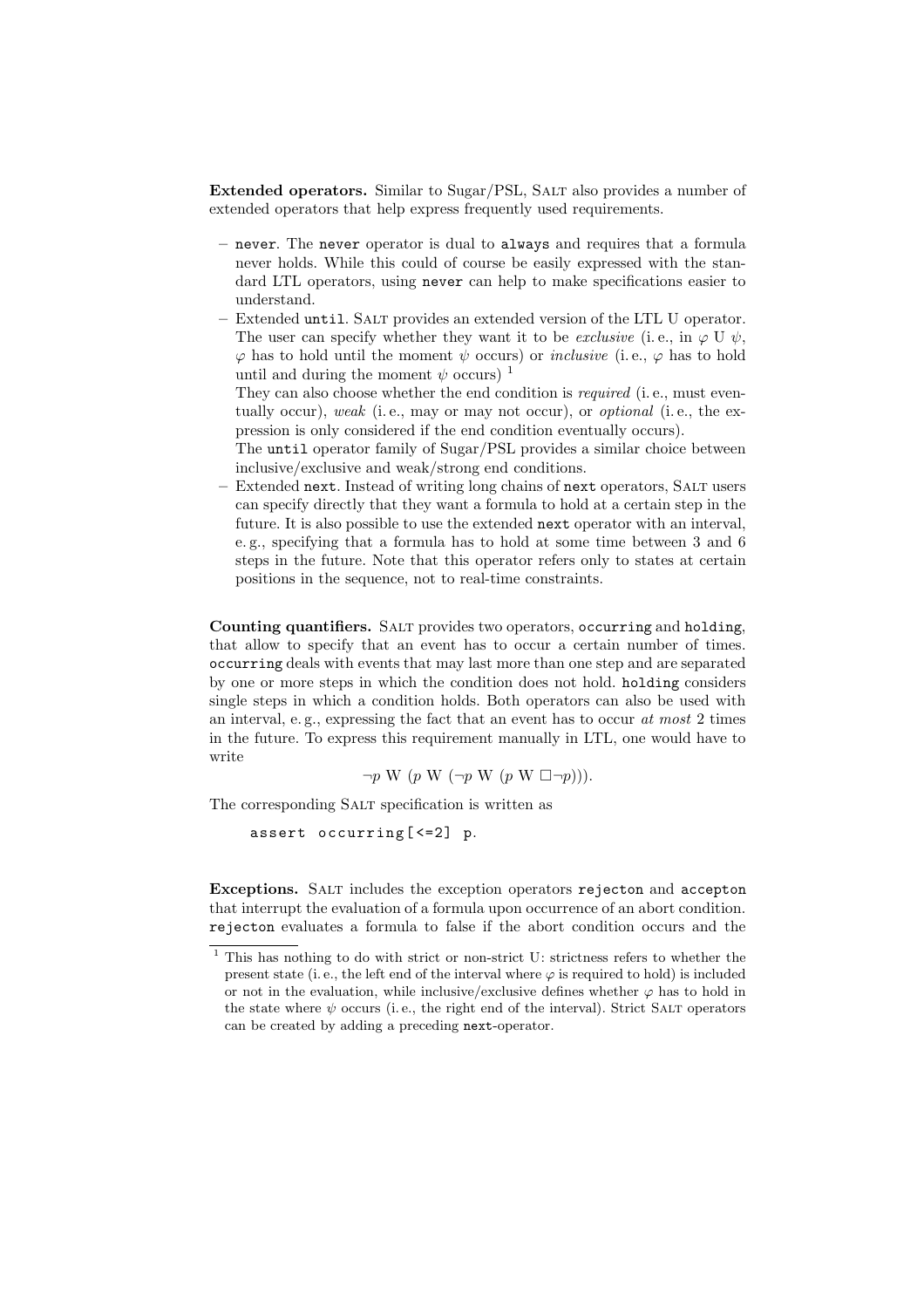Extended operators. Similar to Sugar/PSL, Salt also provides a number of extended operators that help express frequently used requirements.

- never. The never operator is dual to always and requires that a formula never holds. While this could of course be easily expressed with the standard LTL operators, using never can help to make specifications easier to understand.
- Extended until. Salt provides an extended version of the LTL U operator. The user can specify whether they want it to be *exclusive* (i.e., in  $\varphi \, \mathrm{U} \, \psi$ ,  $\varphi$  has to hold until the moment  $\psi$  occurs) or *inclusive* (i.e.,  $\varphi$  has to hold until and during the moment  $\psi$  occurs)<sup>1</sup>
	- They can also choose whether the end condition is *required* (i.e., must eventually occur), weak (i.e., may or may not occur), or *optional* (i.e., the expression is only considered if the end condition eventually occurs).
- The until operator family of Sugar/PSL provides a similar choice between inclusive/exclusive and weak/strong end conditions.
- Extended next. Instead of writing long chains of next operators, SALT users can specify directly that they want a formula to hold at a certain step in the future. It is also possible to use the extended next operator with an interval, e. g., specifying that a formula has to hold at some time between 3 and 6 steps in the future. Note that this operator refers only to states at certain positions in the sequence, not to real-time constraints.

Counting quantifiers. SALT provides two operators, occurring and holding, that allow to specify that an event has to occur a certain number of times. occurring deals with events that may last more than one step and are separated by one or more steps in which the condition does not hold. holding considers single steps in which a condition holds. Both operators can also be used with an interval, e.g., expressing the fact that an event has to occur at most 2 times in the future. To express this requirement manually in LTL, one would have to write

$$
\neg p
$$
 W  $(p$  W  $(\neg p$  W  $(p$  W  $\Box \neg p)$ )).

The corresponding SALT specification is written as

assert occurring[ <=2] p.

Exceptions. Salt includes the exception operators rejecton and accepton that interrupt the evaluation of a formula upon occurrence of an abort condition. rejecton evaluates a formula to false if the abort condition occurs and the

<sup>1</sup> This has nothing to do with strict or non-strict U: strictness refers to whether the present state (i. e., the left end of the interval where  $\varphi$  is required to hold) is included or not in the evaluation, while inclusive/exclusive defines whether  $\varphi$  has to hold in the state where  $\psi$  occurs (i.e., the right end of the interval). Strict SALT operators can be created by adding a preceding next-operator.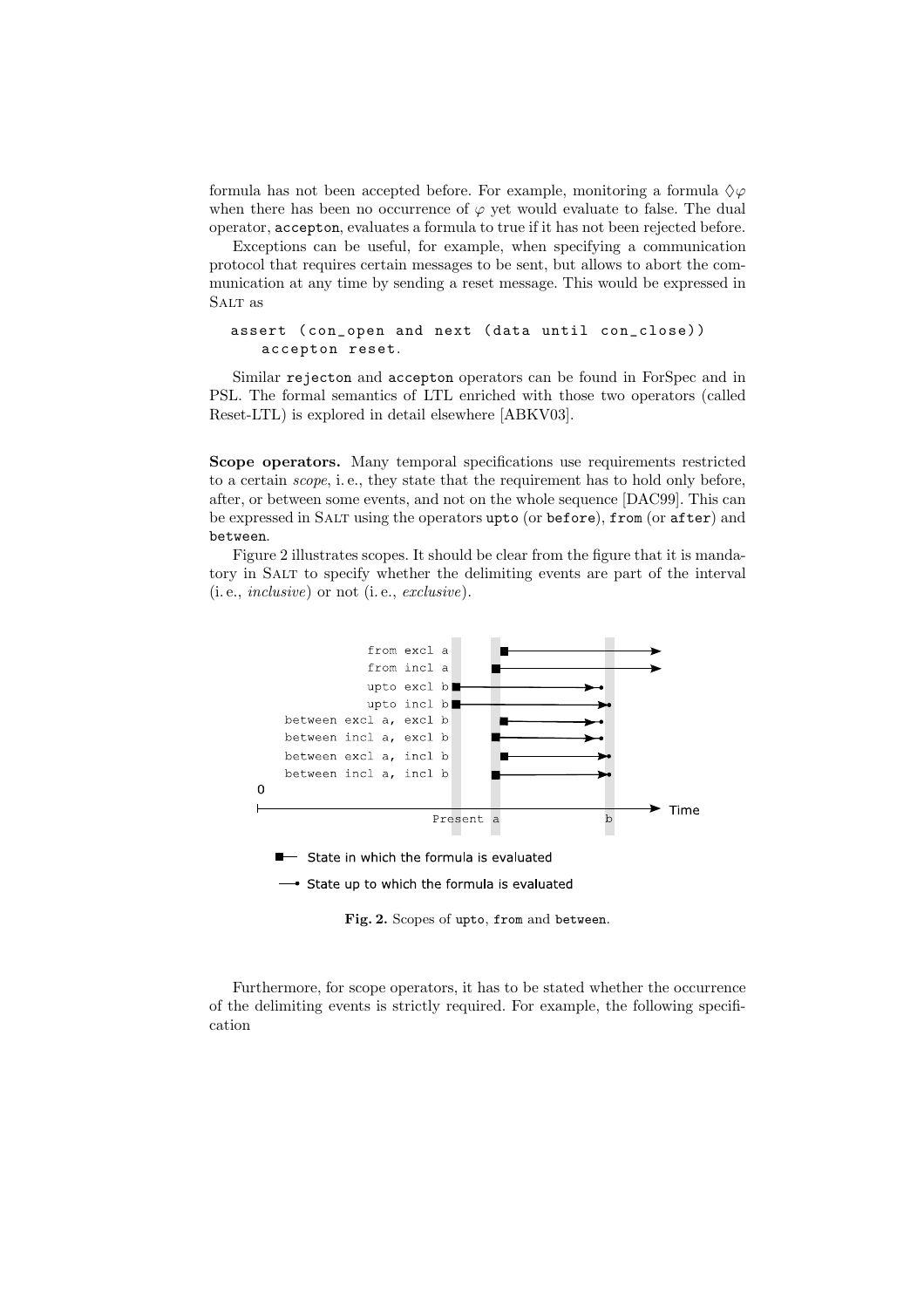formula has not been accepted before. For example, monitoring a formula  $\Diamond \varphi$ when there has been no occurrence of  $\varphi$  yet would evaluate to false. The dual operator, accepton, evaluates a formula to true if it has not been rejected before.

Exceptions can be useful, for example, when specifying a communication protocol that requires certain messages to be sent, but allows to abort the communication at any time by sending a reset message. This would be expressed in SALT as

## assert ( con\_open and next (data until con\_close)) accepton reset.

Similar rejecton and accepton operators can be found in ForSpec and in PSL. The formal semantics of LTL enriched with those two operators (called Reset-LTL) is explored in detail elsewhere [ABKV03].

Scope operators. Many temporal specifications use requirements restricted to a certain scope, i. e., they state that the requirement has to hold only before, after, or between some events, and not on the whole sequence [DAC99]. This can be expressed in SALT using the operators upto (or before), from (or after) and between.

Figure 2 illustrates scopes. It should be clear from the figure that it is mandatory in Salt to specify whether the delimiting events are part of the interval (i. e., inclusive) or not (i. e., exclusive).



Fig. 2. Scopes of upto, from and between.

Furthermore, for scope operators, it has to be stated whether the occurrence of the delimiting events is strictly required. For example, the following specification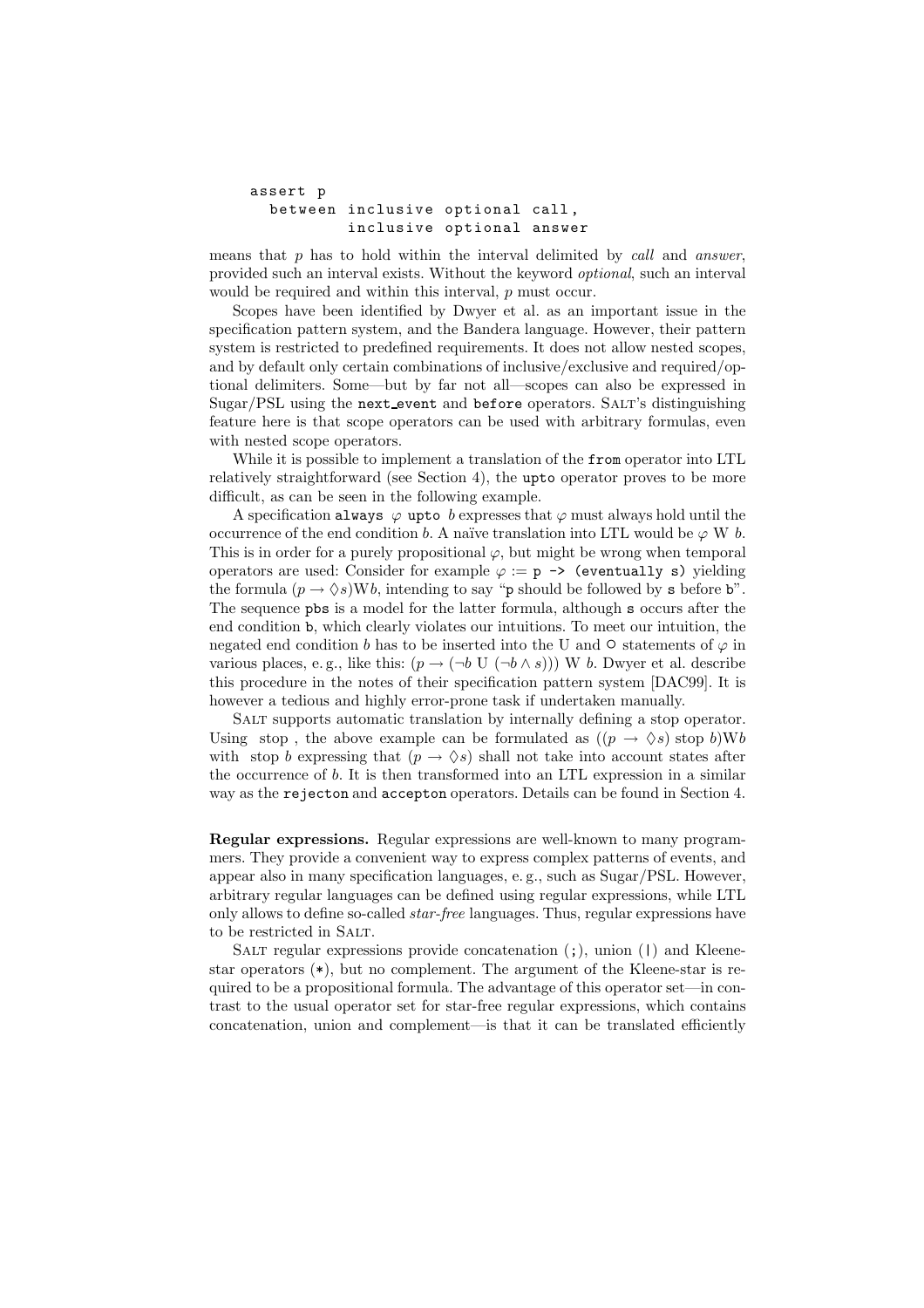```
assert p
  between inclusive optional call ,
          inclusive optional answer
```
means that  $p$  has to hold within the interval delimited by *call* and *answer*, provided such an interval exists. Without the keyword optional, such an interval would be required and within this interval,  $p$  must occur.

Scopes have been identified by Dwyer et al. as an important issue in the specification pattern system, and the Bandera language. However, their pattern system is restricted to predefined requirements. It does not allow nested scopes, and by default only certain combinations of inclusive/exclusive and required/optional delimiters. Some—but by far not all—scopes can also be expressed in Sugar/PSL using the next event and before operators. SALT's distinguishing feature here is that scope operators can be used with arbitrary formulas, even with nested scope operators.

While it is possible to implement a translation of the from operator into LTL relatively straightforward (see Section 4), the upto operator proves to be more difficult, as can be seen in the following example.

A specification always  $\varphi$  upto b expresses that  $\varphi$  must always hold until the occurrence of the end condition b. A naïve translation into LTL would be  $\varphi$  W b. This is in order for a purely propositional  $\varphi$ , but might be wrong when temporal operators are used: Consider for example  $\varphi := \mathbf{p} \rightarrow (\text{eventually s})$  yielding the formula  $(p \to \Diamond s) \mathbf{W} b$ , intending to say "p should be followed by s before b". The sequence pbs is a model for the latter formula, although s occurs after the end condition b, which clearly violates our intuitions. To meet our intuition, the negated end condition b has to be inserted into the U and  $\circ$  statements of  $\varphi$  in various places, e.g., like this:  $(p \rightarrow (\neg b \cup (\neg b \land s)))$  W b. Dwyer et al. describe this procedure in the notes of their specification pattern system [DAC99]. It is however a tedious and highly error-prone task if undertaken manually.

SALT supports automatic translation by internally defining a stop operator. Using stop, the above example can be formulated as  $((p \rightarrow \Diamond s)$  stop b)Wb with stop b expressing that  $(p \to \Diamond s)$  shall not take into account states after the occurrence of b. It is then transformed into an LTL expression in a similar way as the rejecton and accepton operators. Details can be found in Section 4.

Regular expressions. Regular expressions are well-known to many programmers. They provide a convenient way to express complex patterns of events, and appear also in many specification languages, e. g., such as Sugar/PSL. However, arbitrary regular languages can be defined using regular expressions, while LTL only allows to define so-called star-free languages. Thus, regular expressions have to be restricted in SALT.

SALT regular expressions provide concatenation  $($ ;  $)$ , union  $($  $)$  and Kleenestar operators (\*), but no complement. The argument of the Kleene-star is required to be a propositional formula. The advantage of this operator set—in contrast to the usual operator set for star-free regular expressions, which contains concatenation, union and complement—is that it can be translated efficiently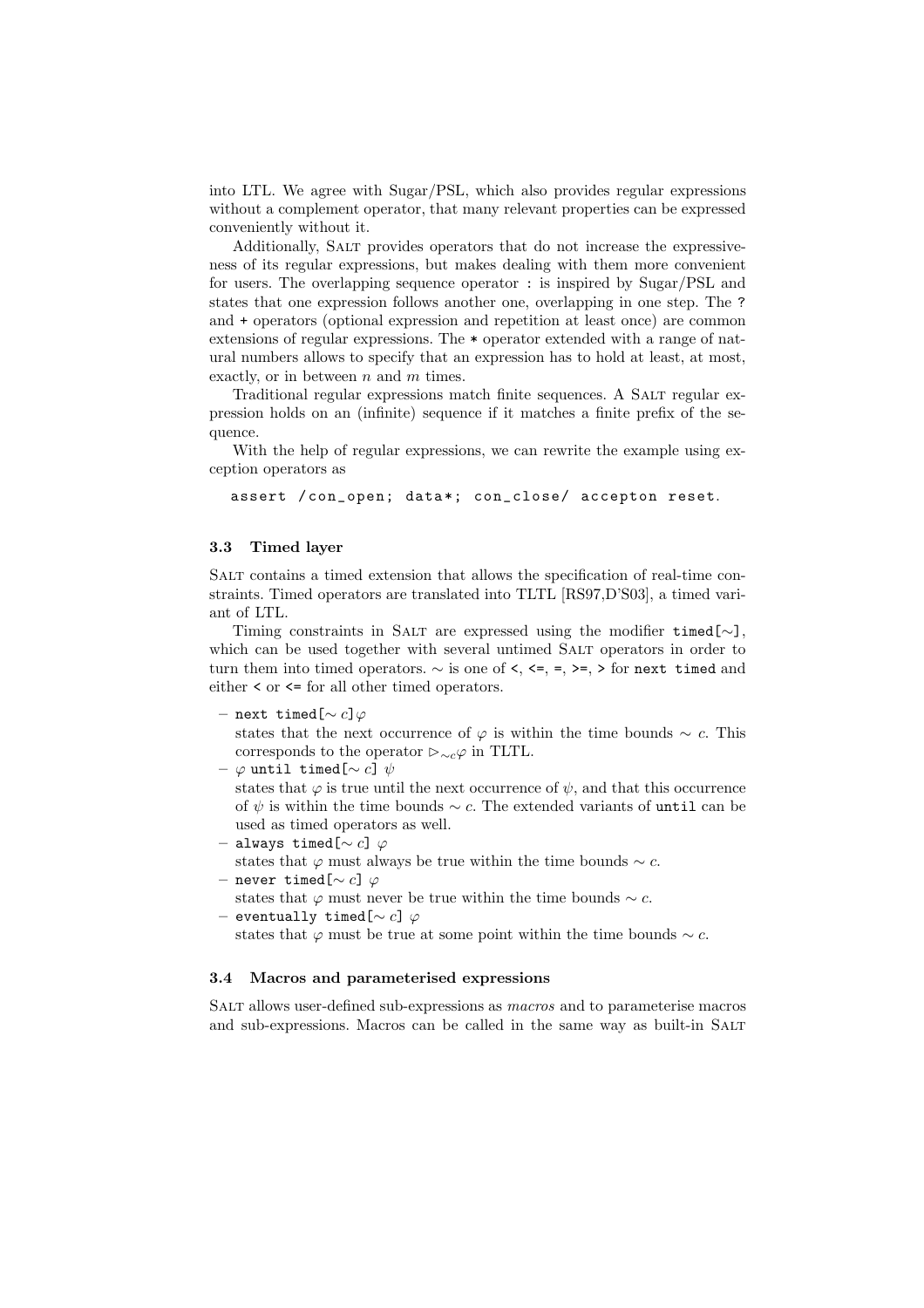into LTL. We agree with Sugar/PSL, which also provides regular expressions without a complement operator, that many relevant properties can be expressed conveniently without it.

Additionally, SALT provides operators that do not increase the expressiveness of its regular expressions, but makes dealing with them more convenient for users. The overlapping sequence operator : is inspired by Sugar/PSL and states that one expression follows another one, overlapping in one step. The ? and + operators (optional expression and repetition at least once) are common extensions of regular expressions. The \* operator extended with a range of natural numbers allows to specify that an expression has to hold at least, at most, exactly, or in between  $n$  and  $m$  times.

Traditional regular expressions match finite sequences. A SALT regular expression holds on an (infinite) sequence if it matches a finite prefix of the sequence.

With the help of regular expressions, we can rewrite the example using exception operators as

assert / con\_open; data\*; con\_close/ accepton reset.

#### 3.3 Timed layer

Salt contains a timed extension that allows the specification of real-time constraints. Timed operators are translated into TLTL [RS97,D'S03], a timed variant of LTL.

Timing constraints in SALT are expressed using the modifier  $\tt{timed}[\sim]$ , which can be used together with several untimed SALT operators in order to turn them into timed operators.  $\sim$  is one of <, <=, =, >=, > for next timed and either < or <= for all other timed operators.

– next timed[ $∼ c]$  $\varphi$ 

states that the next occurrence of  $\varphi$  is within the time bounds  $\sim c$ . This corresponds to the operator  $\triangleright_{\sim c}\varphi$  in TLTL.

 $\varphi$  until timed[ $\sim$  *c*]  $\psi$ 

states that  $\varphi$  is true until the next occurrence of  $\psi$ , and that this occurrence of  $\psi$  is within the time bounds ~ c. The extended variants of until can be used as timed operators as well.

– always timed[∼ c] ϕ

states that  $\varphi$  must always be true within the time bounds  $\sim c$ .

– never timed[ $∼ c$ ]  $ϕ$ 

states that  $\varphi$  must never be true within the time bounds  $\sim c$ .

– eventually timed[ $∼ c$ ]  $\varphi$ 

states that  $\varphi$  must be true at some point within the time bounds  $\sim c$ .

## 3.4 Macros and parameterised expressions

Salt allows user-defined sub-expressions as macros and to parameterise macros and sub-expressions. Macros can be called in the same way as built-in Salt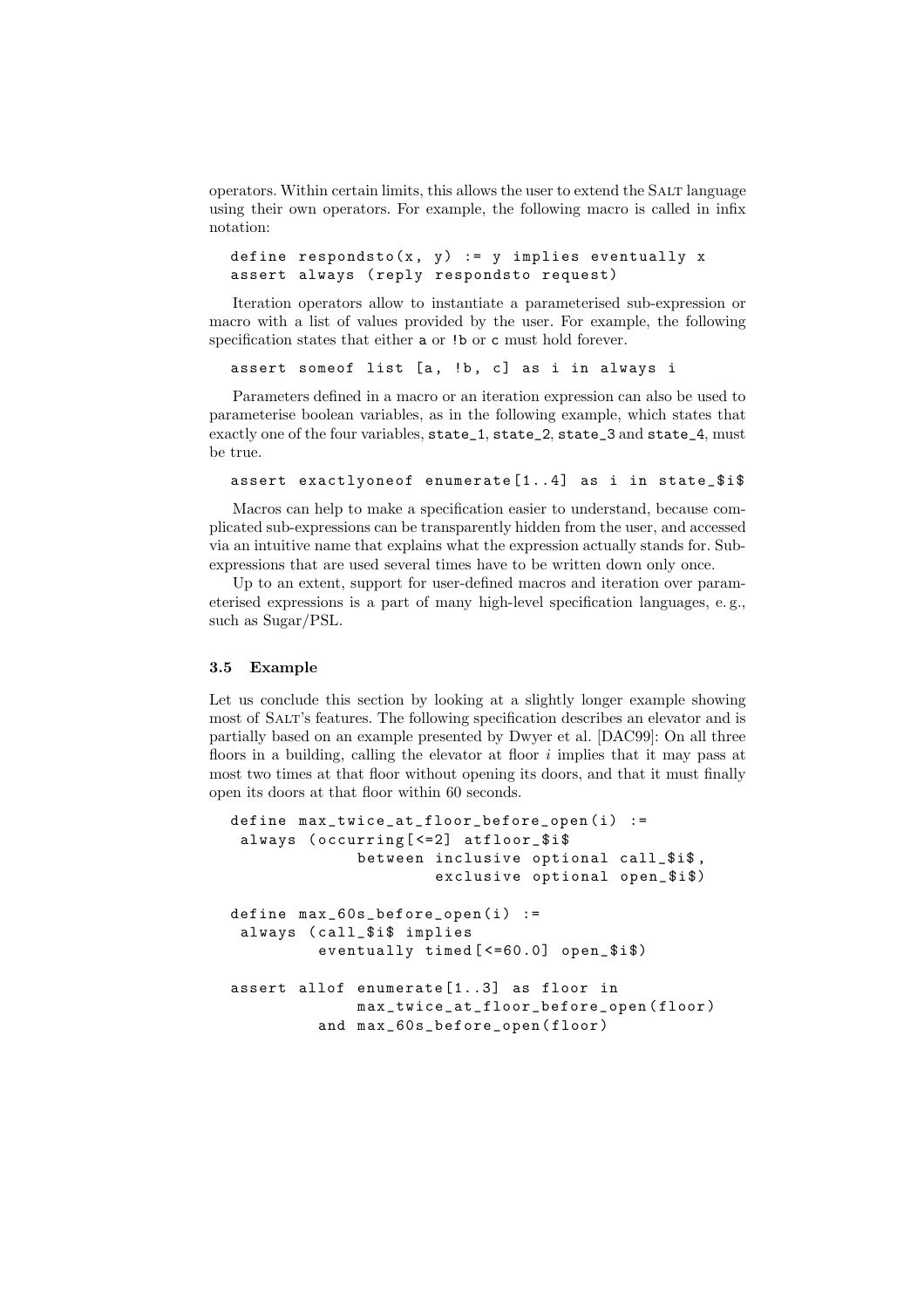operators. Within certain limits, this allows the user to extend the Salt language using their own operators. For example, the following macro is called in infix notation:

```
define respondsto(x, y) := y implies eventually x
assert always ( reply respondsto request)
```
Iteration operators allow to instantiate a parameterised sub-expression or macro with a list of values provided by the user. For example, the following specification states that either a or !b or c must hold forever.

assert someof list [a, !b, c] as i in always i

Parameters defined in a macro or an iteration expression can also be used to parameterise boolean variables, as in the following example, which states that exactly one of the four variables, state\_1, state\_2, state\_3 and state\_4, must be true.

```
assert exactlyoneof enumerate [1..4] as i in state_$i$
```
Macros can help to make a specification easier to understand, because complicated sub-expressions can be transparently hidden from the user, and accessed via an intuitive name that explains what the expression actually stands for. Subexpressions that are used several times have to be written down only once.

Up to an extent, support for user-defined macros and iteration over parameterised expressions is a part of many high-level specification languages, e. g., such as Sugar/PSL.

## 3.5 Example

Let us conclude this section by looking at a slightly longer example showing most of Salt's features. The following specification describes an elevator and is partially based on an example presented by Dwyer et al. [DAC99]: On all three floors in a building, calling the elevator at floor  $i$  implies that it may pass at most two times at that floor without opening its doors, and that it must finally open its doors at that floor within 60 seconds.

```
define max_twice_at_floor_before_open (i) :=
 always ( occurring[ <=2] atfloor_$i$
             between inclusive optional call_$i$ ,
                      exclusive optional open_$i$)
define max_60s_before_open(i) :=
 always ( call_$i$ implies
         eventually timed [ <=60.0] open_$i$)
assert allof enumerate[1..3] as floor in
             max_twice_at_floor_before_open ( floor )
         and max_60s_before_open( floor)
```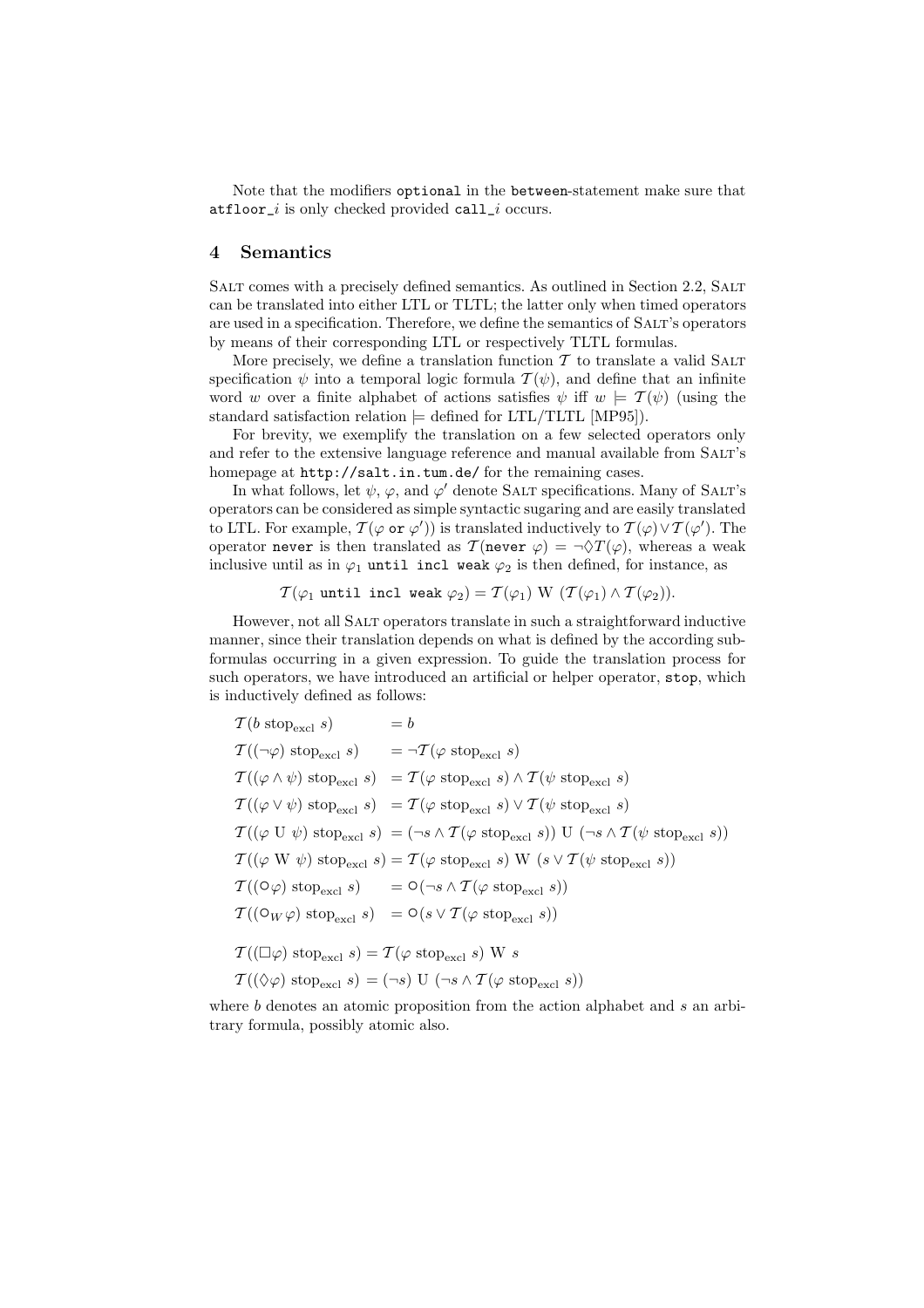Note that the modifiers optional in the between-statement make sure that  $\texttt{atfloor\_}i$  is only checked provided call\_ $i$  occurs.

## 4 Semantics

SALT comes with a precisely defined semantics. As outlined in Section 2.2, SALT can be translated into either LTL or TLTL; the latter only when timed operators are used in a specification. Therefore, we define the semantics of Salt's operators by means of their corresponding LTL or respectively TLTL formulas.

More precisely, we define a translation function  $\mathcal T$  to translate a valid SALT specification  $\psi$  into a temporal logic formula  $\mathcal{T}(\psi)$ , and define that an infinite word w over a finite alphabet of actions satisfies  $\psi$  iff  $w \models \mathcal{T}(\psi)$  (using the standard satisfaction relation  $\models$  defined for LTL/TLTL [MP95]).

For brevity, we exemplify the translation on a few selected operators only and refer to the extensive language reference and manual available from Salt's homepage at http://salt.in.tum.de/ for the remaining cases.

In what follows, let  $\psi$ ,  $\varphi$ , and  $\varphi'$  denote SALT specifications. Many of SALT's operators can be considered as simple syntactic sugaring and are easily translated to LTL. For example,  $T(\varphi \text{ or } \varphi')$  is translated inductively to  $T(\varphi) \vee T(\varphi')$ . The operator never is then translated as  $\mathcal{T}$ (never  $\varphi$ ) =  $\neg \Diamond T(\varphi)$ , whereas a weak inclusive until as in  $\varphi_1$  until incl weak  $\varphi_2$  is then defined, for instance, as

$$
\mathcal{T}(\varphi_1 \text{ until incl weak } \varphi_2) = \mathcal{T}(\varphi_1) \text{ W } (\mathcal{T}(\varphi_1) \wedge \mathcal{T}(\varphi_2)).
$$

However, not all Salt operators translate in such a straightforward inductive manner, since their translation depends on what is defined by the according subformulas occurring in a given expression. To guide the translation process for such operators, we have introduced an artificial or helper operator, stop, which is inductively defined as follows:

$$
T(b \text{ stop}_{\text{excl}} s) = b
$$
  
\n
$$
T((\neg \varphi) \text{ stop}_{\text{excl}} s) = \neg T(\varphi \text{ stop}_{\text{excl}} s)
$$
  
\n
$$
T((\varphi \land \psi) \text{ stop}_{\text{excl}} s) = T(\varphi \text{ stop}_{\text{excl}} s) \land T(\psi \text{ stop}_{\text{excl}} s)
$$
  
\n
$$
T((\varphi \lor \psi) \text{ stop}_{\text{excl}} s) = T(\varphi \text{ stop}_{\text{excl}} s) \lor T(\psi \text{ stop}_{\text{excl}} s)
$$
  
\n
$$
T((\varphi \lor \psi) \text{ stop}_{\text{excl}} s) = (\neg s \land T(\varphi \text{ stop}_{\text{excl}} s)) \cup (\neg s \land T(\psi \text{ stop}_{\text{excl}} s))
$$
  
\n
$$
T((\varphi \lor \psi) \text{ stop}_{\text{excl}} s) = T(\varphi \text{ stop}_{\text{excl}} s) \lor (\varphi \lor T(\psi \text{ stop}_{\text{excl}} s))
$$
  
\n
$$
T((\varphi \lor \psi) \text{ stop}_{\text{excl}} s) = \varphi(\neg s \land T(\varphi \text{ stop}_{\text{excl}} s))
$$
  
\n
$$
T((\varphi \lor \psi) \text{ stop}_{\text{excl}} s) = \varphi(\neg s \land T(\varphi \text{ stop}_{\text{excl}} s))
$$
  
\n
$$
T((\varphi \lor \psi) \text{ stop}_{\text{excl}} s) = T(\varphi \text{ stop}_{\text{excl}} s) \lor s
$$
  
\n
$$
T((\Box \varphi) \text{ stop}_{\text{excl}} s) = T(\varphi \text{ stop}_{\text{excl}} s) \lor s
$$
  
\n
$$
T((\Diamond \varphi) \text{ stop}_{\text{excl}} s) = (\neg s) \lor (\neg s \land T(\varphi \text{ stop}_{\text{excl}} s))
$$

where  $b$  denotes an atomic proposition from the action alphabet and  $s$  an arbitrary formula, possibly atomic also.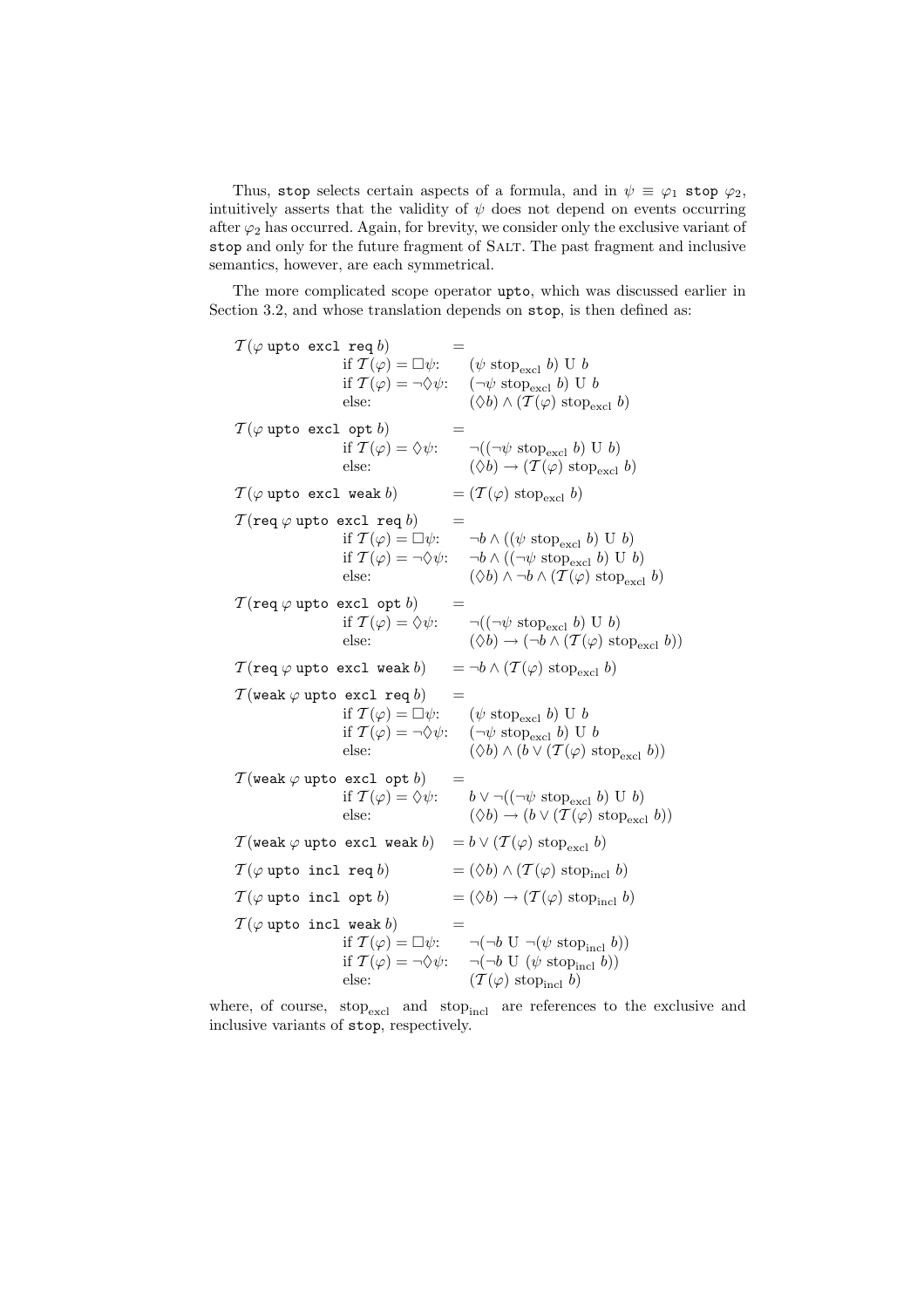Thus, stop selects certain aspects of a formula, and in  $\psi \equiv \varphi_1$  stop  $\varphi_2$ , intuitively asserts that the validity of  $\psi$  does not depend on events occurring after  $\varphi_2$  has occurred. Again, for brevity, we consider only the exclusive variant of stop and only for the future fragment of Salt. The past fragment and inclusive semantics, however, are each symmetrical.

The more complicated scope operator upto, which was discussed earlier in Section 3.2, and whose translation depends on stop, is then defined as:

| $\mathcal{T}(\varphi \text{ upto excl } \text{req } b)$                             | else:                                                                                                |     | if $\mathcal{T}(\varphi) = \Box \psi$ : $(\psi \text{ stop}_{\text{excl}} b) \text{ U } b$<br>if $\mathcal{T}(\varphi) = \neg \Diamond \psi$ : $(\neg \psi \text{ stop}_{\text{excl}} b) \cup b$<br>$(\Diamond b) \wedge (\mathcal{T}(\varphi) \text{ stop}_{\text{excl}} b)$ |
|-------------------------------------------------------------------------------------|------------------------------------------------------------------------------------------------------|-----|-------------------------------------------------------------------------------------------------------------------------------------------------------------------------------------------------------------------------------------------------------------------------------|
| $\mathcal{T}(\varphi \text{ upto excl opt } b)$                                     | if $\mathcal{T}(\varphi) = \Diamond \psi$ :<br>else:                                                 |     | $\neg((\neg \psi \text{ stop}_{\text{excl}} b) \cup b)$<br>$(\Diamond b) \rightarrow (\mathcal{T}(\varphi) \text{ stop}_{\text{excl}} b)$                                                                                                                                     |
| $\mathcal{T}(\varphi \text{ upto excl weak } b)$                                    |                                                                                                      |     | $=(\mathcal{T}(\varphi) \text{ stop}_{\text{excl}} b)$                                                                                                                                                                                                                        |
| $\mathcal{T}(\mathbf{req}\ \varphi\ \mathbf{upto}\ \mathbf{excl}\ \mathbf{req}\ b)$ | if $\mathcal{T}(\varphi) = \Box \psi$ :<br>if $\mathcal{T}(\varphi) = \neg \Diamond \psi$ :<br>else: | $=$ | $\neg b \wedge ((\psi \text{ stop}_{\text{excl}} b) \cup b)$<br>$\neg b \wedge ((\neg \psi \text{ stop}_{\text{excl}} b) \cup b)$<br>$(\Diamond b) \wedge \neg b \wedge (\mathcal{T}(\varphi) \text{ stop}_{\text{excl}} b)$                                                  |
| $\mathcal{T}(\mathtt{req}\ \varphi\ \mathtt{upto}\ \mathtt{excl}\ \mathtt{opt}\ b)$ | if $\mathcal{T}(\varphi) = \Diamond \psi$ :<br>else:                                                 |     | $\neg((\neg \psi \text{ stop}_{\text{excl}} b) \cup b)$<br>$(\Diamond b) \rightarrow (\neg b \land (\mathcal{T}(\varphi) \text{ stop}_{\text{excl}} b))$                                                                                                                      |
|                                                                                     | $\mathcal{T}(\mathtt{req}\ \varphi\ \mathtt{upto}\ \mathtt{excl}\ \mathtt{weak}\ b)$                 |     | $= \neg b \wedge (\mathcal{T}(\varphi) \text{ stop}_{\text{excl}} b)$                                                                                                                                                                                                         |
| $\mathcal{T}$ (weak $\varphi$ upto excl req $b)$                                    | if $\mathcal{T}(\varphi) = \neg \Diamond \psi$ :<br>else:                                            | $=$ | if $\mathcal{T}(\varphi) = \Box \psi$ : $(\psi \text{ stop}_{\text{excl}} b) \text{ U } b$<br>$(\neg \psi \text{ stop}_{\text{excl}} b) \text{ U } b$<br>$(\Diamond b) \wedge (b \vee (\mathcal{T}(\varphi) \text{ stop}_{\text{excl}} b))$                                   |
| $\mathcal{T}$ (weak $\varphi$ upto excl opt $b)$                                    | if $\mathcal{T}(\varphi) = \Diamond \psi$ :<br>else:                                                 |     | $b \vee \neg((\neg \psi \text{ stop}_{\text{excl}} b) \cup b)$<br>$(\Diamond b) \rightarrow (b \lor (\mathcal{T}(\varphi) \ \text{stop}_{\text{excl}} \ b))$                                                                                                                  |
| $\mathcal{T}$ (weak $\varphi$ upto excl weak $b)$                                   |                                                                                                      |     | $= b \vee (\mathcal{T}(\varphi) \text{ stop}_{\text{excl}} b)$                                                                                                                                                                                                                |
| $\mathcal{T}(\varphi \text{ upto incl } \text{req } b)$                             |                                                                                                      |     | $= (\Diamond b) \wedge (\mathcal{T}(\varphi) \text{ stop}_{\text{incl}} b)$                                                                                                                                                                                                   |
| $\mathcal{T}(\varphi \text{ upto incl opt } b)$                                     |                                                                                                      |     | $=(\Diamond b) \rightarrow (\mathcal{T}(\varphi) \text{ stop}_{\text{incl}} b)$                                                                                                                                                                                               |
| $\mathcal{T}(\varphi \text{ upto incl weak } b)$                                    | else:                                                                                                |     | if $\mathcal{T}(\varphi) = \Box \psi$ : $\neg(\neg b \cup \neg (\psi \text{ stop}_{\text{incl}} b))$<br>if $\mathcal{T}(\varphi) = \neg \Diamond \psi$ : $\neg(\neg b \cup (\psi \text{ stop}_{\text{incl}} b))$<br>$(\mathcal{T}(\varphi)$ stop <sub>incl</sub> $b)$         |
|                                                                                     |                                                                                                      |     |                                                                                                                                                                                                                                                                               |

where, of course,  $\text{stop}_{\text{excl}}$  and  $\text{stop}_{\text{incl}}$  are references to the exclusive and inclusive variants of stop, respectively.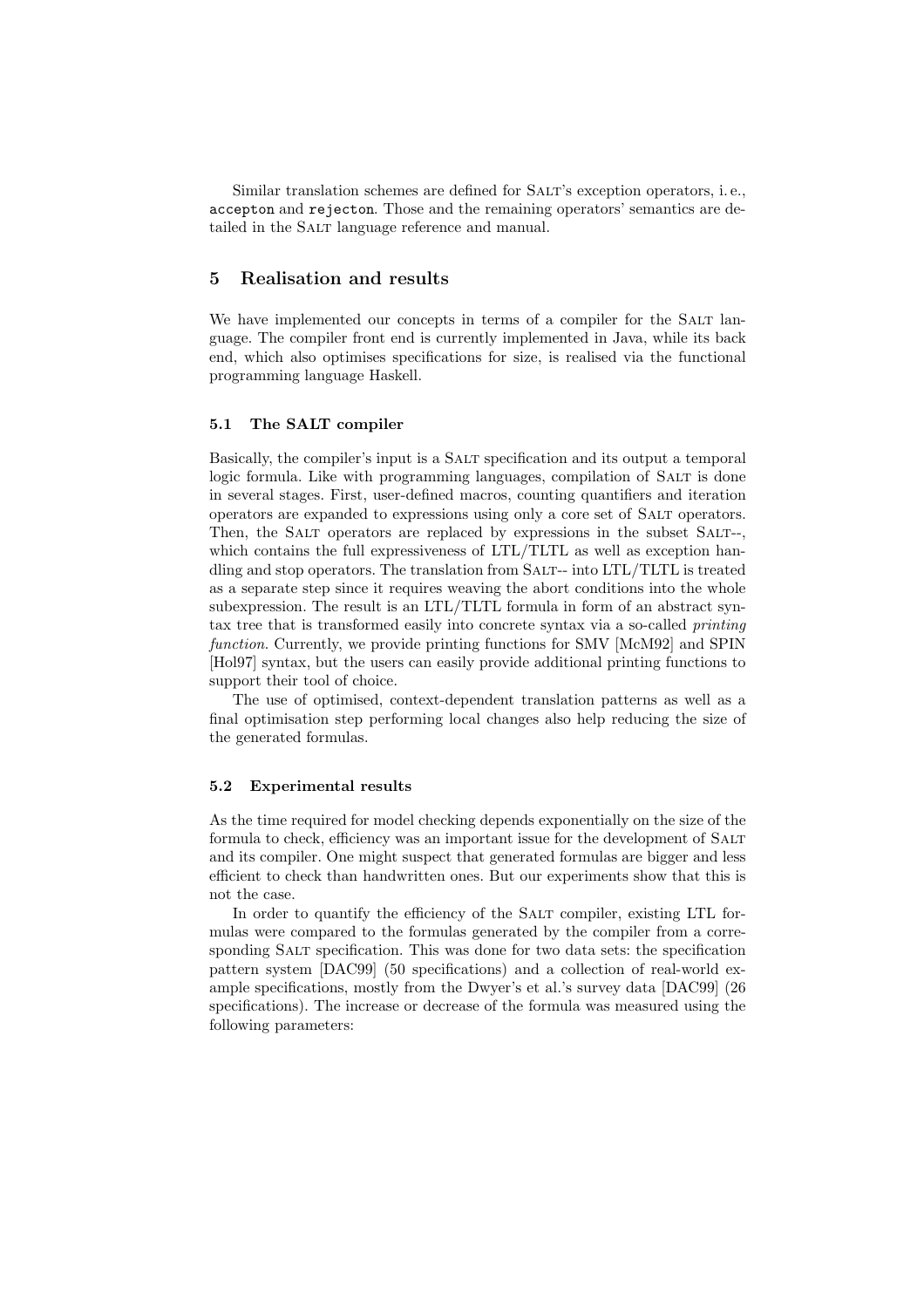Similar translation schemes are defined for Salt's exception operators, i. e., accepton and rejecton. Those and the remaining operators' semantics are detailed in the SALT language reference and manual.

# 5 Realisation and results

We have implemented our concepts in terms of a compiler for the SALT language. The compiler front end is currently implemented in Java, while its back end, which also optimises specifications for size, is realised via the functional programming language Haskell.

## 5.1 The SALT compiler

Basically, the compiler's input is a SALT specification and its output a temporal logic formula. Like with programming languages, compilation of SALT is done in several stages. First, user-defined macros, counting quantifiers and iteration operators are expanded to expressions using only a core set of Salt operators. Then, the SALT operators are replaced by expressions in the subset SALT--, which contains the full expressiveness of LTL/TLTL as well as exception handling and stop operators. The translation from Salt-- into LTL/TLTL is treated as a separate step since it requires weaving the abort conditions into the whole subexpression. The result is an LTL/TLTL formula in form of an abstract syntax tree that is transformed easily into concrete syntax via a so-called printing function. Currently, we provide printing functions for SMV [McM92] and SPIN [Hol97] syntax, but the users can easily provide additional printing functions to support their tool of choice.

The use of optimised, context-dependent translation patterns as well as a final optimisation step performing local changes also help reducing the size of the generated formulas.

## 5.2 Experimental results

As the time required for model checking depends exponentially on the size of the formula to check, efficiency was an important issue for the development of Salt and its compiler. One might suspect that generated formulas are bigger and less efficient to check than handwritten ones. But our experiments show that this is not the case.

In order to quantify the efficiency of the SALT compiler, existing LTL formulas were compared to the formulas generated by the compiler from a corresponding SALT specification. This was done for two data sets: the specification pattern system [DAC99] (50 specifications) and a collection of real-world example specifications, mostly from the Dwyer's et al.'s survey data [DAC99] (26 specifications). The increase or decrease of the formula was measured using the following parameters: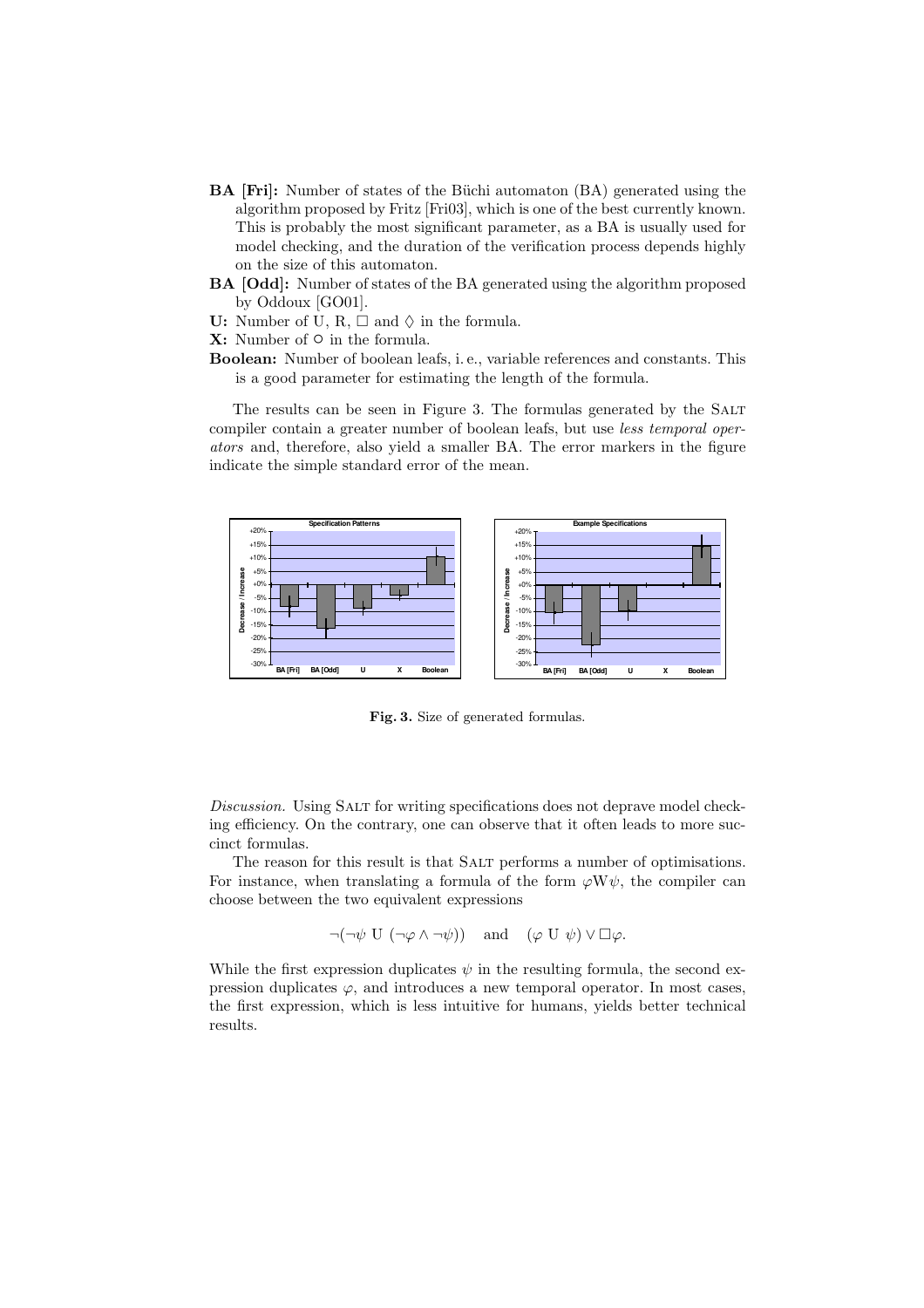- **BA** [Fri]: Number of states of the Büchi automaton (BA) generated using the algorithm proposed by Fritz [Fri03], which is one of the best currently known. This is probably the most significant parameter, as a BA is usually used for model checking, and the duration of the verification process depends highly on the size of this automaton.
- BA [Odd]: Number of states of the BA generated using the algorithm proposed by Oddoux [GO01].
- **U:** Number of U, R,  $\Box$  and  $\Diamond$  in the formula.
- $X:$  Number of  $\circ$  in the formula.
- **Boolean:** Number of boolean leafs, i.e., variable references and constants. This is a good parameter for estimating the length of the formula.  $\sim$

The results can be seen in Figure 3. The formulas generated by the SALT compiler contain a greater number of boolean leafs, but use *less temporal oper*ators and, therefore, also yield a smaller BA. The error markers in the figure indicate the simple standard error of the mean. -10%  $\sim$ **Decrease / Increase**



**B**  $\frac{1}{2}$  **EV EV <b>EV CONDUSTER** ing efficiency. On the contrary, one can observe that it often leads to more suc- $55<sub>b</sub>$ SALT for writing specifications does not deprave model check-

The reason for this result is that SALT performs a number of optimisations. For instance, when translating a formula of the form  $\varphi W\psi$ , the compiler can choose between the two equivalent expressions

$$
\neg(\neg \psi \cup (\neg \varphi \wedge \neg \psi))
$$
 and  $(\varphi \cup \psi) \vee \Box \varphi$ .

While the first expression duplicates  $\psi$  in the resulting formula, the second expression duplicates  $\varphi$ , and introduces a new temporal operator. In most cases, the first expression, which is less intuitive for humans, yields better technical results.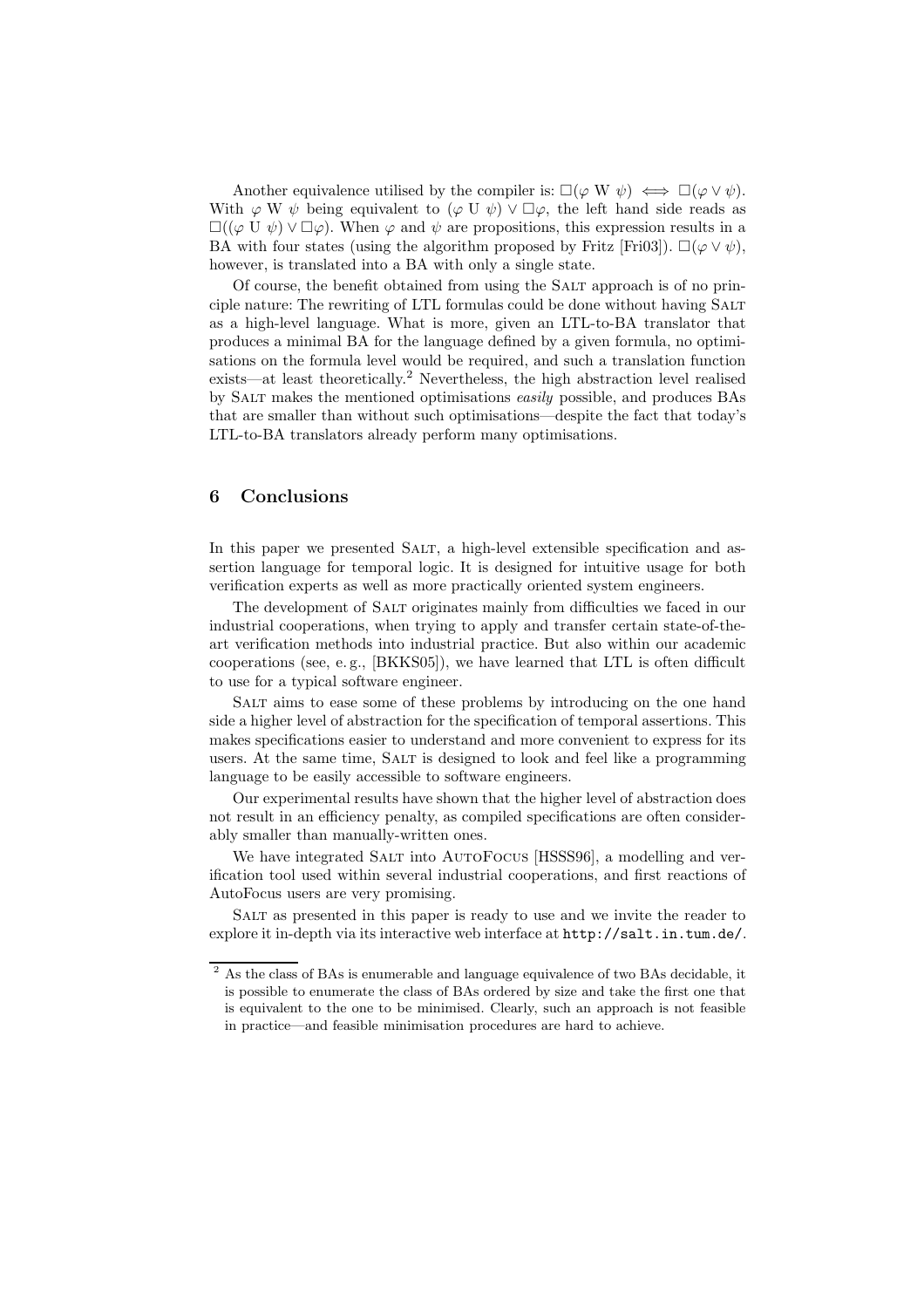Another equivalence utilised by the compiler is:  $\square(\varphi \le \psi) \iff \square(\varphi \vee \psi)$ . With  $\varphi \text{ W } \psi$  being equivalent to  $(\varphi \text{ U } \psi) \vee \Box \varphi$ , the left hand side reads as  $\square((\varphi \cup \psi) \vee \square \varphi)$ . When  $\varphi$  and  $\psi$  are propositions, this expression results in a BA with four states (using the algorithm proposed by Fritz [Fri03]).  $\square(\varphi \vee \psi)$ , however, is translated into a BA with only a single state.

Of course, the benefit obtained from using the SALT approach is of no principle nature: The rewriting of LTL formulas could be done without having Salt as a high-level language. What is more, given an LTL-to-BA translator that produces a minimal BA for the language defined by a given formula, no optimisations on the formula level would be required, and such a translation function exists—at least theoretically. <sup>2</sup> Nevertheless, the high abstraction level realised by SALT makes the mentioned optimisations easily possible, and produces BAs that are smaller than without such optimisations—despite the fact that today's LTL-to-BA translators already perform many optimisations.

# 6 Conclusions

In this paper we presented Salt, a high-level extensible specification and assertion language for temporal logic. It is designed for intuitive usage for both verification experts as well as more practically oriented system engineers.

The development of SALT originates mainly from difficulties we faced in our industrial cooperations, when trying to apply and transfer certain state-of-theart verification methods into industrial practice. But also within our academic cooperations (see, e. g., [BKKS05]), we have learned that LTL is often difficult to use for a typical software engineer.

SALT aims to ease some of these problems by introducing on the one hand side a higher level of abstraction for the specification of temporal assertions. This makes specifications easier to understand and more convenient to express for its users. At the same time, Salt is designed to look and feel like a programming language to be easily accessible to software engineers.

Our experimental results have shown that the higher level of abstraction does not result in an efficiency penalty, as compiled specifications are often considerably smaller than manually-written ones.

We have integrated SALT into AUTOFOCUS [HSSS96], a modelling and verification tool used within several industrial cooperations, and first reactions of AutoFocus users are very promising.

Salt as presented in this paper is ready to use and we invite the reader to explore it in-depth via its interactive web interface at http://salt.in.tum.de/.

<sup>&</sup>lt;sup>2</sup> As the class of BAs is enumerable and language equivalence of two BAs decidable, it is possible to enumerate the class of BAs ordered by size and take the first one that is equivalent to the one to be minimised. Clearly, such an approach is not feasible in practice—and feasible minimisation procedures are hard to achieve.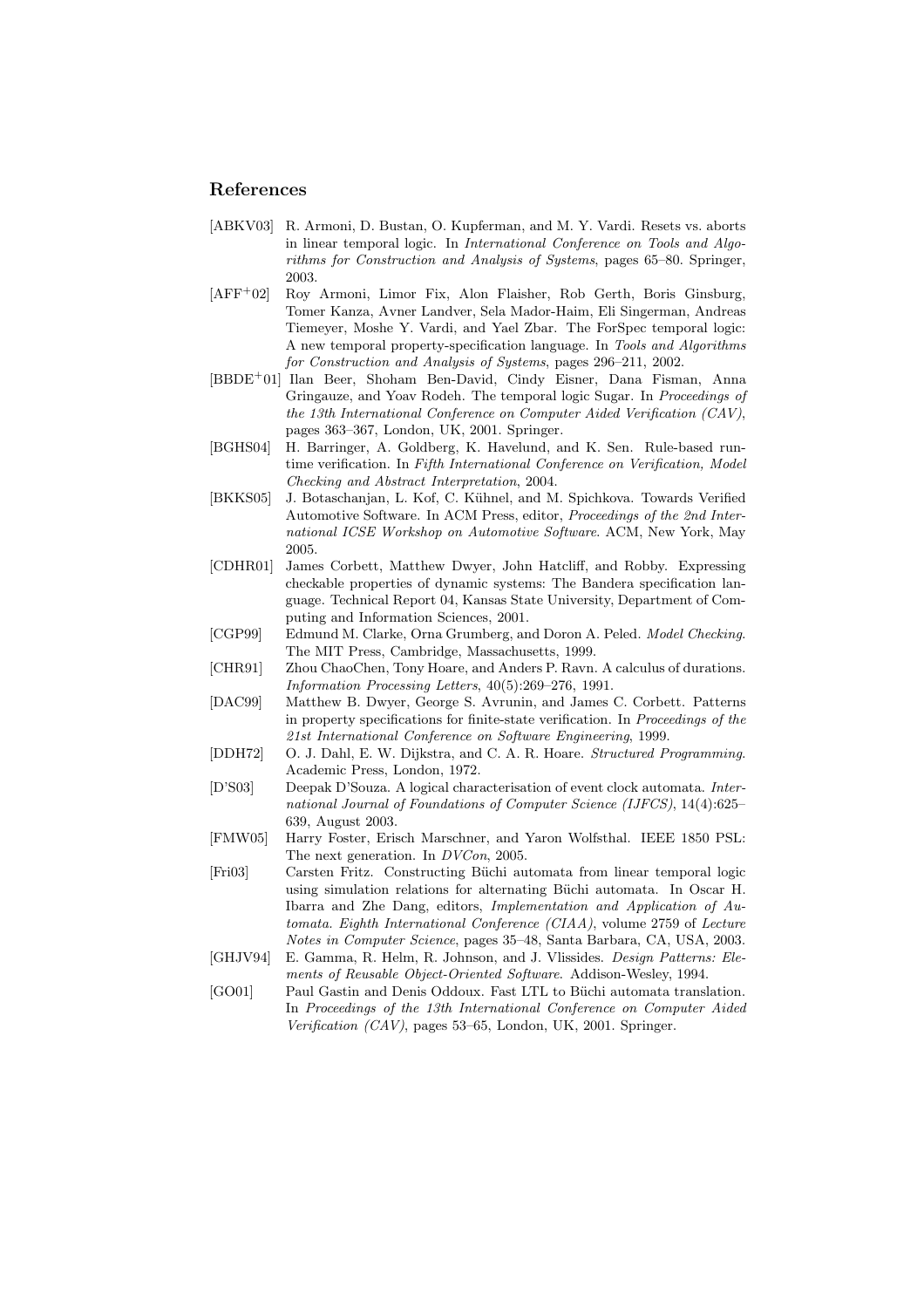# References

- [ABKV03] R. Armoni, D. Bustan, O. Kupferman, and M. Y. Vardi. Resets vs. aborts in linear temporal logic. In International Conference on Tools and Algorithms for Construction and Analysis of Systems, pages 65–80. Springer, 2003.
- [AFF<sup>+</sup>02] Roy Armoni, Limor Fix, Alon Flaisher, Rob Gerth, Boris Ginsburg, Tomer Kanza, Avner Landver, Sela Mador-Haim, Eli Singerman, Andreas Tiemeyer, Moshe Y. Vardi, and Yael Zbar. The ForSpec temporal logic: A new temporal property-specification language. In Tools and Algorithms for Construction and Analysis of Systems, pages 296–211, 2002.
- [BBDE<sup>+</sup>01] Ilan Beer, Shoham Ben-David, Cindy Eisner, Dana Fisman, Anna Gringauze, and Yoav Rodeh. The temporal logic Sugar. In Proceedings of the 13th International Conference on Computer Aided Verification (CAV), pages 363–367, London, UK, 2001. Springer.
- [BGHS04] H. Barringer, A. Goldberg, K. Havelund, and K. Sen. Rule-based runtime verification. In Fifth International Conference on Verification, Model Checking and Abstract Interpretation, 2004.
- [BKKS05] J. Botaschanjan, L. Kof, C. Kühnel, and M. Spichkova. Towards Verified Automotive Software. In ACM Press, editor, Proceedings of the 2nd International ICSE Workshop on Automotive Software. ACM, New York, May 2005.
- [CDHR01] James Corbett, Matthew Dwyer, John Hatcliff, and Robby. Expressing checkable properties of dynamic systems: The Bandera specification language. Technical Report 04, Kansas State University, Department of Computing and Information Sciences, 2001.
- [CGP99] Edmund M. Clarke, Orna Grumberg, and Doron A. Peled. Model Checking. The MIT Press, Cambridge, Massachusetts, 1999.
- [CHR91] Zhou ChaoChen, Tony Hoare, and Anders P. Ravn. A calculus of durations. Information Processing Letters, 40(5):269–276, 1991.
- [DAC99] Matthew B. Dwyer, George S. Avrunin, and James C. Corbett. Patterns in property specifications for finite-state verification. In Proceedings of the 21st International Conference on Software Engineering, 1999.
- [DDH72] O. J. Dahl, E. W. Dijkstra, and C. A. R. Hoare. Structured Programming. Academic Press, London, 1972.
- [D'S03] Deepak D'Souza. A logical characterisation of event clock automata. International Journal of Foundations of Computer Science (IJFCS), 14(4):625– 639, August 2003.
- [FMW05] Harry Foster, Erisch Marschner, and Yaron Wolfsthal. IEEE 1850 PSL: The next generation. In  $DVCon$ , 2005.
- [Fri03] Carsten Fritz. Constructing Büchi automata from linear temporal logic using simulation relations for alternating Büchi automata. In Oscar H. Ibarra and Zhe Dang, editors, Implementation and Application of Automata. Eighth International Conference (CIAA), volume 2759 of Lecture Notes in Computer Science, pages 35–48, Santa Barbara, CA, USA, 2003.
- [GHJV94] E. Gamma, R. Helm, R. Johnson, and J. Vlissides. Design Patterns: Elements of Reusable Object-Oriented Software. Addison-Wesley, 1994.
- [GO01] Paul Gastin and Denis Oddoux. Fast LTL to Büchi automata translation. In Proceedings of the 13th International Conference on Computer Aided Verification (CAV), pages 53–65, London, UK, 2001. Springer.